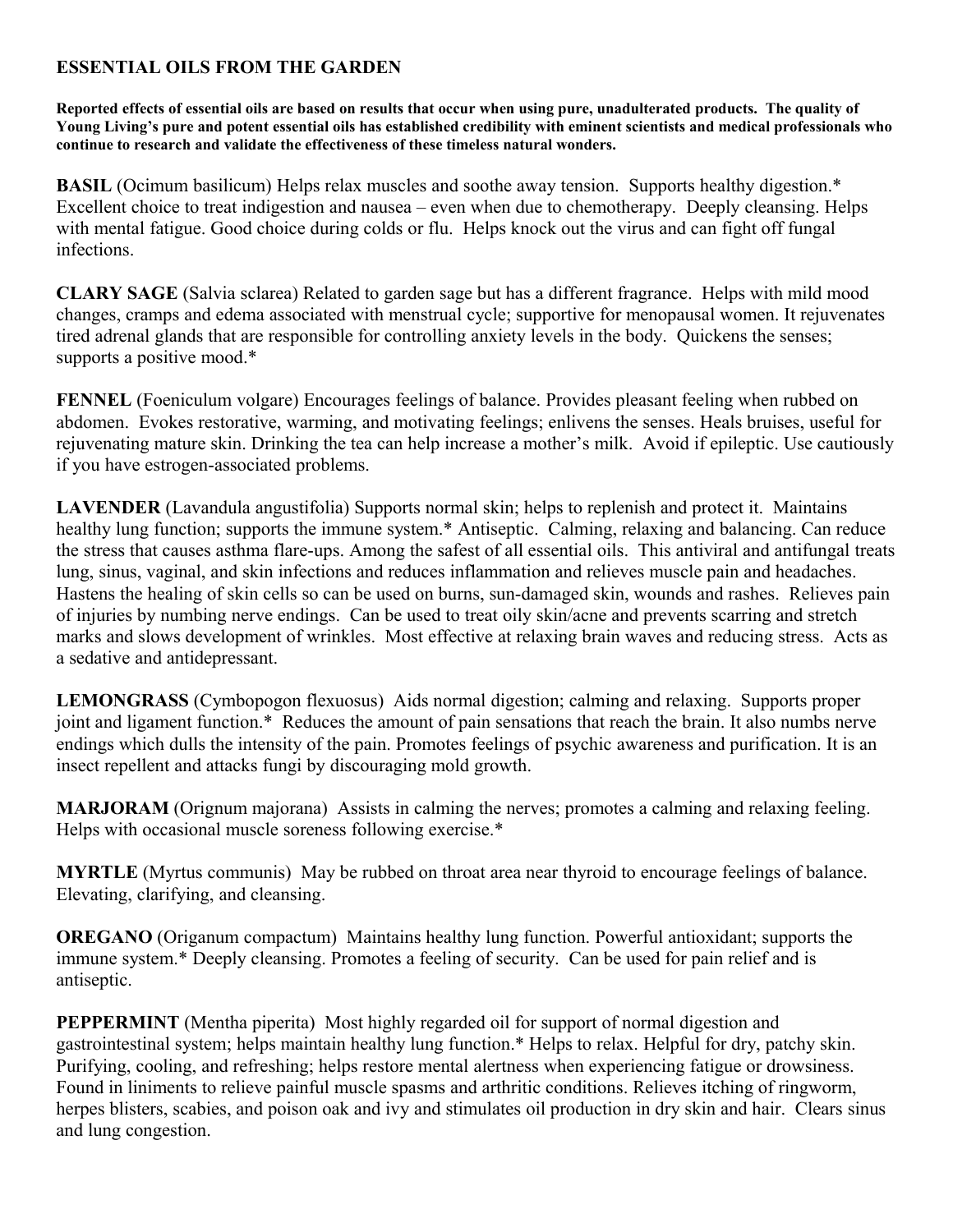### **ESSENTIAL OILS FROM THE GARDEN**

**Reported effects of essential oils are based on results that occur when using pure, unadulterated products. The quality of Young Living's pure and potent essential oils has established credibility with eminent scientists and medical professionals who continue to research and validate the effectiveness of these timeless natural wonders.**

**BASIL** (Ocimum basilicum) Helps relax muscles and soothe away tension. Supports healthy digestion.\* Excellent choice to treat indigestion and nausea – even when due to chemotherapy. Deeply cleansing. Helps with mental fatigue. Good choice during colds or flu. Helps knock out the virus and can fight off fungal infections.

**CLARY SAGE** (Salvia sclarea) Related to garden sage but has a different fragrance. Helps with mild mood changes, cramps and edema associated with menstrual cycle; supportive for menopausal women. It rejuvenates tired adrenal glands that are responsible for controlling anxiety levels in the body. Quickens the senses; supports a positive mood.\*

**FENNEL** (Foeniculum volgare) Encourages feelings of balance. Provides pleasant feeling when rubbed on abdomen. Evokes restorative, warming, and motivating feelings; enlivens the senses. Heals bruises, useful for rejuvenating mature skin. Drinking the tea can help increase a mother's milk. Avoid if epileptic. Use cautiously if you have estrogen-associated problems.

**LAVENDER** (Lavandula angustifolia) Supports normal skin; helps to replenish and protect it. Maintains healthy lung function; supports the immune system.\* Antiseptic. Calming, relaxing and balancing. Can reduce the stress that causes asthma flare-ups. Among the safest of all essential oils. This antiviral and antifungal treats lung, sinus, vaginal, and skin infections and reduces inflammation and relieves muscle pain and headaches. Hastens the healing of skin cells so can be used on burns, sun-damaged skin, wounds and rashes. Relieves pain of injuries by numbing nerve endings. Can be used to treat oily skin/acne and prevents scarring and stretch marks and slows development of wrinkles. Most effective at relaxing brain waves and reducing stress. Acts as a sedative and antidepressant.

**LEMONGRASS** (Cymbopogon flexuosus) Aids normal digestion; calming and relaxing. Supports proper joint and ligament function.\* Reduces the amount of pain sensations that reach the brain. It also numbs nerve endings which dulls the intensity of the pain. Promotes feelings of psychic awareness and purification. It is an insect repellent and attacks fungi by discouraging mold growth.

**MARJORAM** (Orignum majorana) Assists in calming the nerves; promotes a calming and relaxing feeling. Helps with occasional muscle soreness following exercise.\*

**MYRTLE** (Myrtus communis) May be rubbed on throat area near thyroid to encourage feelings of balance. Elevating, clarifying, and cleansing.

**OREGANO** (Origanum compactum) Maintains healthy lung function. Powerful antioxidant; supports the immune system.\* Deeply cleansing. Promotes a feeling of security. Can be used for pain relief and is antiseptic.

**PEPPERMINT** (Mentha piperita) Most highly regarded oil for support of normal digestion and gastrointestinal system; helps maintain healthy lung function.\* Helps to relax. Helpful for dry, patchy skin. Purifying, cooling, and refreshing; helps restore mental alertness when experiencing fatigue or drowsiness. Found in liniments to relieve painful muscle spasms and arthritic conditions. Relieves itching of ringworm, herpes blisters, scabies, and poison oak and ivy and stimulates oil production in dry skin and hair. Clears sinus and lung congestion.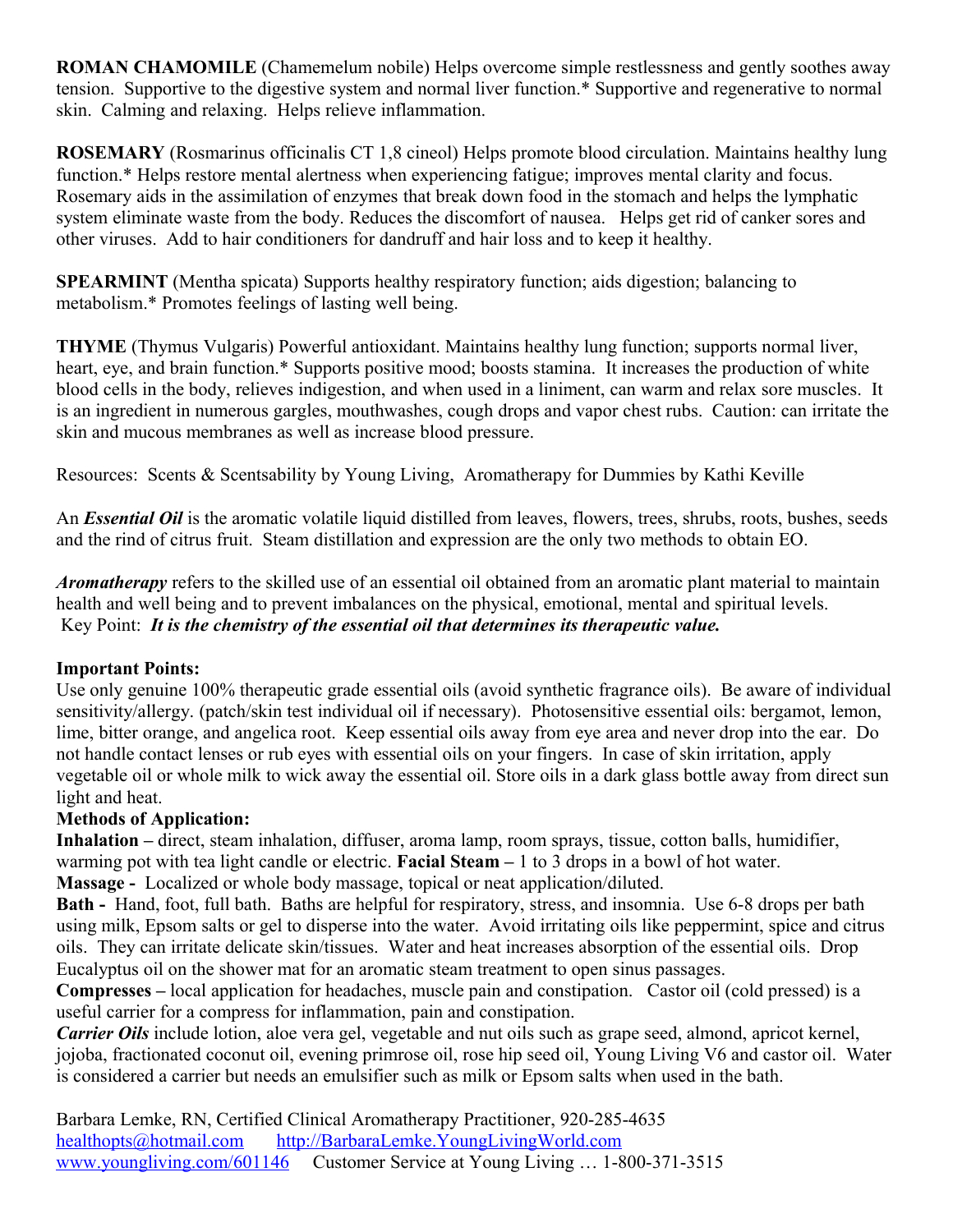**ROMAN CHAMOMILE** (Chamemelum nobile) Helps overcome simple restlessness and gently soothes away tension. Supportive to the digestive system and normal liver function.\* Supportive and regenerative to normal skin. Calming and relaxing. Helps relieve inflammation.

**ROSEMARY** (Rosmarinus officinalis CT 1,8 cineol) Helps promote blood circulation. Maintains healthy lung function.\* Helps restore mental alertness when experiencing fatigue; improves mental clarity and focus. Rosemary aids in the assimilation of enzymes that break down food in the stomach and helps the lymphatic system eliminate waste from the body. Reduces the discomfort of nausea. Helps get rid of canker sores and other viruses. Add to hair conditioners for dandruff and hair loss and to keep it healthy.

**SPEARMINT** (Mentha spicata) Supports healthy respiratory function; aids digestion; balancing to metabolism.\* Promotes feelings of lasting well being.

**THYME** (Thymus Vulgaris) Powerful antioxidant. Maintains healthy lung function; supports normal liver, heart, eye, and brain function.\* Supports positive mood; boosts stamina. It increases the production of white blood cells in the body, relieves indigestion, and when used in a liniment, can warm and relax sore muscles. It is an ingredient in numerous gargles, mouthwashes, cough drops and vapor chest rubs. Caution: can irritate the skin and mucous membranes as well as increase blood pressure.

Resources: Scents & Scentsability by Young Living, Aromatherapy for Dummies by Kathi Keville

An *Essential Oil* is the aromatic volatile liquid distilled from leaves, flowers, trees, shrubs, roots, bushes, seeds and the rind of citrus fruit. Steam distillation and expression are the only two methods to obtain EO.

*Aromatherapy* refers to the skilled use of an essential oil obtained from an aromatic plant material to maintain health and well being and to prevent imbalances on the physical, emotional, mental and spiritual levels. Key Point: *It is the chemistry of the essential oil that determines its therapeutic value.*

#### **Important Points:**

Use only genuine 100% therapeutic grade essential oils (avoid synthetic fragrance oils). Be aware of individual sensitivity/allergy. (patch/skin test individual oil if necessary). Photosensitive essential oils: bergamot, lemon, lime, bitter orange, and angelica root. Keep essential oils away from eye area and never drop into the ear. Do not handle contact lenses or rub eyes with essential oils on your fingers. In case of skin irritation, apply vegetable oil or whole milk to wick away the essential oil. Store oils in a dark glass bottle away from direct sun light and heat.

### **Methods of Application:**

**Inhalation –** direct, steam inhalation, diffuser, aroma lamp, room sprays, tissue, cotton balls, humidifier, warming pot with tea light candle or electric. **Facial Steam –** 1 to 3 drops in a bowl of hot water. **Massage -** Localized or whole body massage, topical or neat application/diluted.

**Bath -** Hand, foot, full bath. Baths are helpful for respiratory, stress, and insomnia. Use 6-8 drops per bath using milk, Epsom salts or gel to disperse into the water. Avoid irritating oils like peppermint, spice and citrus oils. They can irritate delicate skin/tissues. Water and heat increases absorption of the essential oils. Drop Eucalyptus oil on the shower mat for an aromatic steam treatment to open sinus passages.

**Compresses –** local application for headaches, muscle pain and constipation. Castor oil (cold pressed) is a useful carrier for a compress for inflammation, pain and constipation.

*Carrier Oils* include lotion, aloe vera gel, vegetable and nut oils such as grape seed, almond, apricot kernel, jojoba, fractionated coconut oil, evening primrose oil, rose hip seed oil, Young Living V6 and castor oil. Water is considered a carrier but needs an emulsifier such as milk or Epsom salts when used in the bath.

Barbara Lemke, RN, Certified Clinical Aromatherapy Practitioner, 920-285-4635 [healthopts@hotmail.com](mailto:healthopts@hotmail.com) [http://BarbaraLemke.YoungLivingWorld.com](http://BarbaraLemke.YoungLivingWorld.com/) [www.youngliving.com/601146](http://www.youngliving.com/601146) Customer Service at Young Living … 1-800-371-3515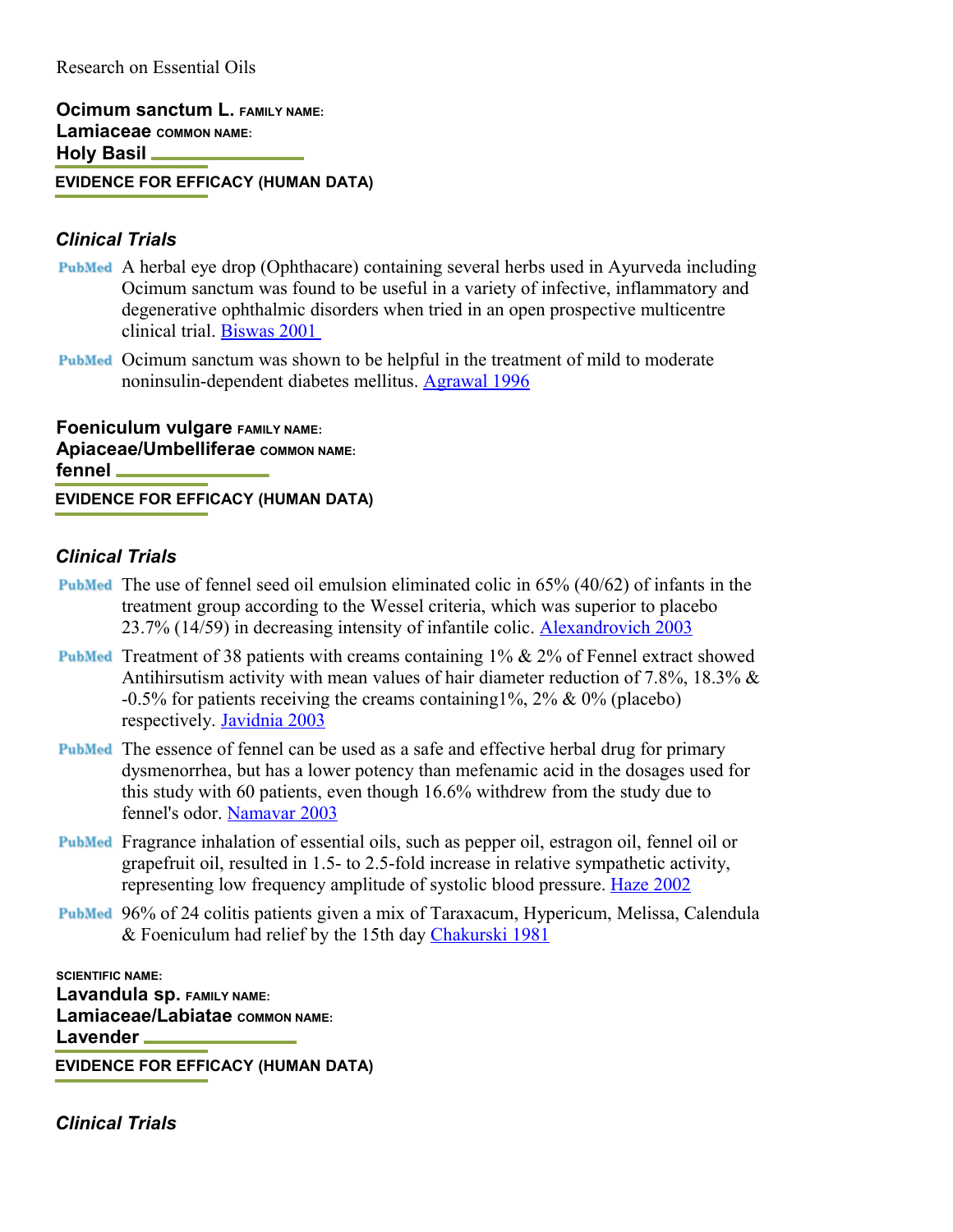**Ocimum sanctum L. FAMILY NAME: Lamiaceae COMMON NAME: Holy Basil EVIDENCE FOR EFFICACY (HUMAN DATA)**

#### *Clinical Trials*

- A herbal eye drop (Ophthacare) containing several herbs used in Ayurveda including Ocimum sanctum was found to be useful in a variety of infective, inflammatory and degenerative ophthalmic disorders when tried in an open prospective multicentre clinical trial. [Biswas 2001](http://content.herbalgram.org/abc/herbmedpro/default.asp?getpg=http://www.ncbi.nlm.nih.gov/sites/entrez?cmd=Retrieve&db=PubMed&list_uids=11746845&dopt=Abstract)
- Ocimum sanctum was shown to be helpful in the treatment of mild to moderate noninsulin-dependent diabetes mellitus. [Agrawal 1996](http://content.herbalgram.org/abc/herbmedpro/default.asp?getpg=http://www.ncbi.nlm.nih.gov/entrez/query.fcgi?cmd=Retrieve&db=pubmed&dopt=Abstract&list_uids=8880292)

**Foeniculum vulgare FAMILY NAME: Apiaceae/Umbelliferae COMMON NAME: fennel EVIDENCE FOR EFFICACY (HUMAN DATA)**

#### *Clinical Trials*

- **PubMed** The use of fennel seed oil emulsion eliminated colic in  $65\%$   $(40/62)$  of infants in the treatment group according to the Wessel criteria, which was superior to placebo 23.7% (14/59) in decreasing intensity of infantile colic. [Alexandrovich 2003](http://content.herbalgram.org/abc/herbmedpro/default.asp?getpg=http://www.ncbi.nlm.nih.gov/entrez/query.fcgi?cmd=Retrieve&db=PubMed&list_uids=12868253&dopt=Abstract)
- **PubMed** Treatment of 38 patients with creams containing  $1\%$  &  $2\%$  of Fennel extract showed Antihirsutism activity with mean values of hair diameter reduction of 7.8%, 18.3%  $\&$ -0.5% for patients receiving the creams containing1%, 2% & 0% (placebo) respectively. [Javidnia 2003](http://content.herbalgram.org/abc/herbmedpro/default.asp?getpg=http://www.ncbi.nlm.nih.gov/entrez/query.fcgi?cmd=Retrieve&db=PubMed&list_uids=13678227&dopt=Abstract)
- The essence of fennel can be used as a safe and effective herbal drug for primary dysmenorrhea, but has a lower potency than mefenamic acid in the dosages used for this study with 60 patients, even though 16.6% withdrew from the study due to fennel's odor. [Namavar 2003](http://content.herbalgram.org/abc/herbmedpro/default.asp?getpg=http://www.ncbi.nlm.nih.gov/entrez/query.fcgi?cmd=Retrieve&db=PubMed&list_uids=12566188&dopt=Abstract)
- Fragrance inhalation of essential oils, such as pepper oil, estragon oil, fennel oil or grapefruit oil, resulted in 1.5- to 2.5-fold increase in relative sympathetic activity, representing low frequency amplitude of systolic blood pressure. [Haze 2002](http://content.herbalgram.org/abc/herbmedpro/default.asp?getpg=http://www.ncbi.nlm.nih.gov/entrez/query.fcgi?cmd=Retrieve&db=PubMed&list_uids=12499579&dopt=Abstract)
- 96% of 24 colitis patients given a mix of Taraxacum, Hypericum, Melissa, Calendula & Foeniculum had relief by the 15th day [Chakurski 1981](http://content.herbalgram.org/abc/herbmedpro/default.asp?getpg=http://www.ncbi.nlm.nih.gov/entrez/query.fcgi?cmd=Retrieve&db=PubMed&list_uids=7336706&dopt=Abstract)

**SCIENTIFIC NAME: Lavandula sp. FAMILY NAME: Lamiaceae/Labiatae COMMON NAME: Lavender**

**EVIDENCE FOR EFFICACY (HUMAN DATA)**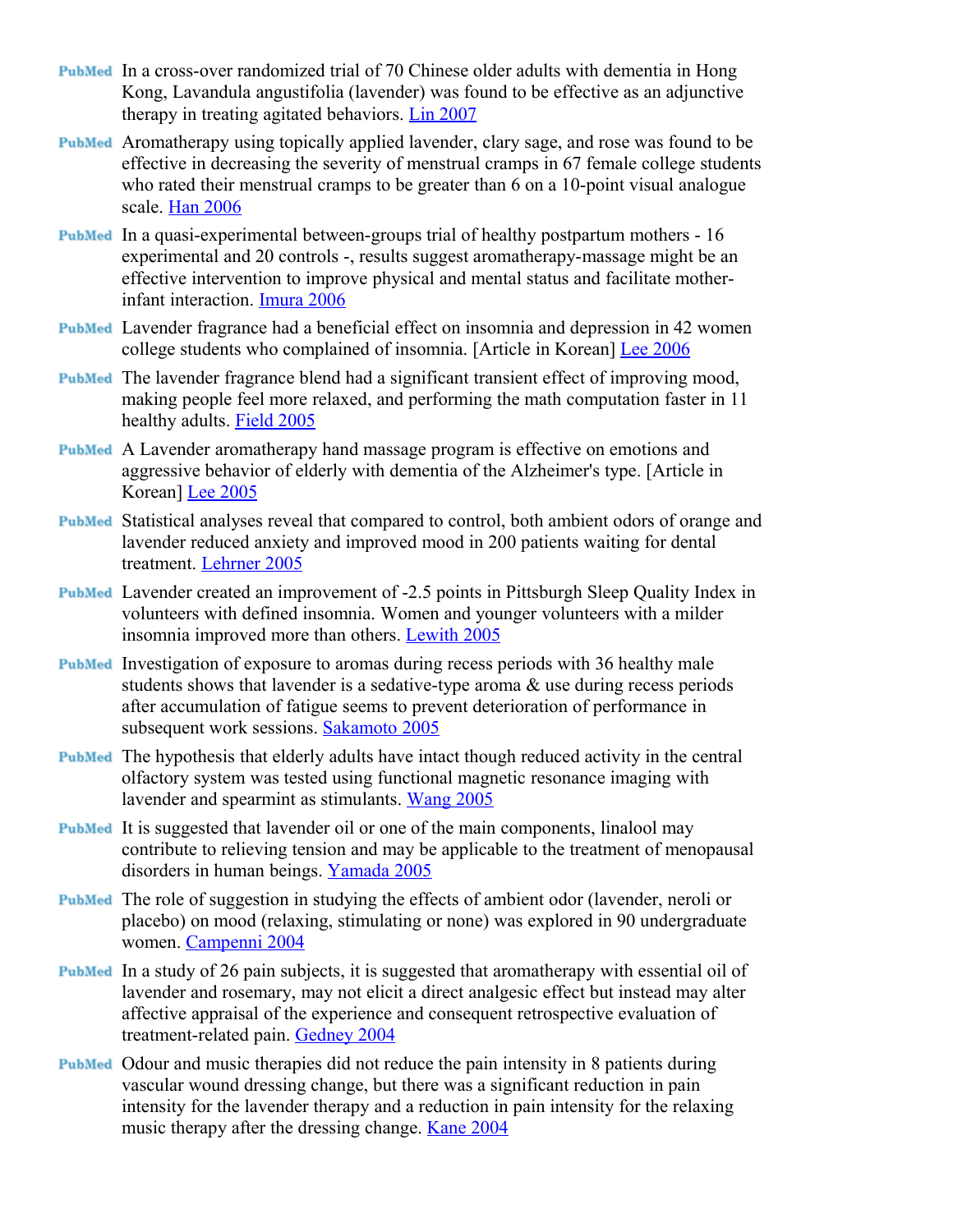- In a cross-over randomized trial of 70 Chinese older adults with dementia in Hong Kong, Lavandula angustifolia (lavender) was found to be effective as an adjunctive therapy in treating agitated behaviors. [Lin 2007](http://content.herbalgram.org/abc/herbmedpro/default.asp?getpg=http://www.ncbi.nlm.nih.gov/sites/entrez?cmd=Retrieve&db=PubMed&list_uids=17342790&dopt=Abstract)
- Aromatherapy using topically applied lavender, clary sage, and rose was found to be effective in decreasing the severity of menstrual cramps in 67 female college students who rated their menstrual cramps to be greater than 6 on a 10-point visual analogue scale. [Han 2006](http://content.herbalgram.org/abc/herbmedpro/default.asp?getpg=http://www.ncbi.nlm.nih.gov/sites/entrez?cmd=Retrieve&db=PubMed&list_uids=16884344&dopt=Abstract)
- In a quasi-experimental between-groups trial of healthy postpartum mothers 16 experimental and 20 controls -, results suggest aromatherapy-massage might be an effective intervention to improve physical and mental status and facilitate motherinfant interaction. [Imura 2006](http://content.herbalgram.org/abc/herbmedpro/default.asp?getpg=http://www.ncbi.nlm.nih.gov/sites/entrez?cmd=Retrieve&db=PubMed&list_uids=16504900&dopt=Abstract)
- Lavender fragrance had a beneficial effect on insomnia and depression in 42 women college students who complained of insomnia. [Article in Korean] [Lee 2006](http://content.herbalgram.org/abc/herbmedpro/default.asp?getpg=http://www.ncbi.nlm.nih.gov/sites/entrez?cmd=Retrieve&db=PubMed&list_uids=16520572&dopt=Abstract)
- The lavender fragrance blend had a significant transient effect of improving mood, making people feel more relaxed, and performing the math computation faster in 11 healthy adults. [Field 2005](http://content.herbalgram.org/abc/herbmedpro/default.asp?getpg=http://www.ncbi.nlm.nih.gov/sites/entrez?cmd=Retrieve&db=PubMed&list_uids=15764002&dopt=Abstract)
- A Lavender aromatherapy hand massage program is effective on emotions and aggressive behavior of elderly with dementia of the Alzheimer's type. [Article in Korean] [Lee 2005](http://content.herbalgram.org/abc/herbmedpro/default.asp?getpg=http://www.ncbi.nlm.nih.gov/sites/entrez?cmd=Retrieve&db=PubMed&list_uids=15860944&dopt=Abstract)
- Statistical analyses reveal that compared to control, both ambient odors of orange and lavender reduced anxiety and improved mood in 200 patients waiting for dental treatment. [Lehrner 2005](http://content.herbalgram.org/abc/herbmedpro/default.asp?getpg=http://www.ncbi.nlm.nih.gov/sites/entrez?cmd=Retrieve&db=PubMed&list_uids=16095639&dopt=Abstract)
- Lavender created an improvement of -2.5 points in Pittsburgh Sleep Quality Index in volunteers with defined insomnia. Women and younger volunteers with a milder insomnia improved more than others. [Lewith 2005](http://content.herbalgram.org/abc/herbmedpro/default.asp?getpg=http://www.ncbi.nlm.nih.gov/sites/entrez?cmd=Retrieve&db=PubMed&list_uids=16131287&dopt=Abstract)
- **PubMed** Investigation of exposure to aromas during recess periods with 36 healthy male students shows that lavender is a sedative-type aroma & use during recess periods after accumulation of fatigue seems to prevent deterioration of performance in subsequent work sessions. [Sakamoto 2005](http://content.herbalgram.org/abc/herbmedpro/default.asp?getpg=http://www.ncbi.nlm.nih.gov/sites/entrez?cmd=Retrieve&db=PubMed&list_uids=16162642&dopt=Abstract)
- The hypothesis that elderly adults have intact though reduced activity in the central olfactory system was tested using functional magnetic resonance imaging with lavender and spearmint as stimulants. [Wang 2005](http://content.herbalgram.org/abc/herbmedpro/default.asp?getpg=http://www.ncbi.nlm.nih.gov/sites/entrez?cmd=Retrieve&db=PubMed&list_uids=15933393&dopt=Abstract)
- It is suggested that lavender oil or one of the main components, linalool may contribute to relieving tension and may be applicable to the treatment of menopausal disorders in human beings. [Yamada 2005](http://content.herbalgram.org/abc/herbmedpro/default.asp?getpg=http://www.ncbi.nlm.nih.gov/sites/entrez?cmd=Retrieve&db=PubMed&list_uids=15684505&dopt=Abstract)
- The role of suggestion in studying the effects of ambient odor (lavender, neroli or placebo) on mood (relaxing, stimulating or none) was explored in 90 undergraduate women. [Campenni 2004](http://content.herbalgram.org/abc/herbmedpro/default.asp?getpg=http://www.ncbi.nlm.nih.gov/sites/entrez?cmd=Retrieve&db=PubMed&list_uids=15362382&dopt=Abstract)
- In a study of 26 pain subjects, it is suggested that aromatherapy with essential oil of lavender and rosemary, may not elicit a direct analgesic effect but instead may alter affective appraisal of the experience and consequent retrospective evaluation of treatment-related pain. [Gedney 2004](http://content.herbalgram.org/abc/herbmedpro/default.asp?getpg=http://www.ncbi.nlm.nih.gov/sites/entrez?cmd=Retrieve&db=PubMed&list_uids=15272109&dopt=Abstract)
- Odour and music therapies did not reduce the pain intensity in 8 patients during vascular wound dressing change, but there was a significant reduction in pain intensity for the lavender therapy and a reduction in pain intensity for the relaxing music therapy after the dressing change. [Kane 2004](http://content.herbalgram.org/abc/herbmedpro/default.asp?getpg=http://www.ncbi.nlm.nih.gov/sites/entrez?cmd=Retrieve&db=PubMed&list_uids=15573017&dopt=Abstract)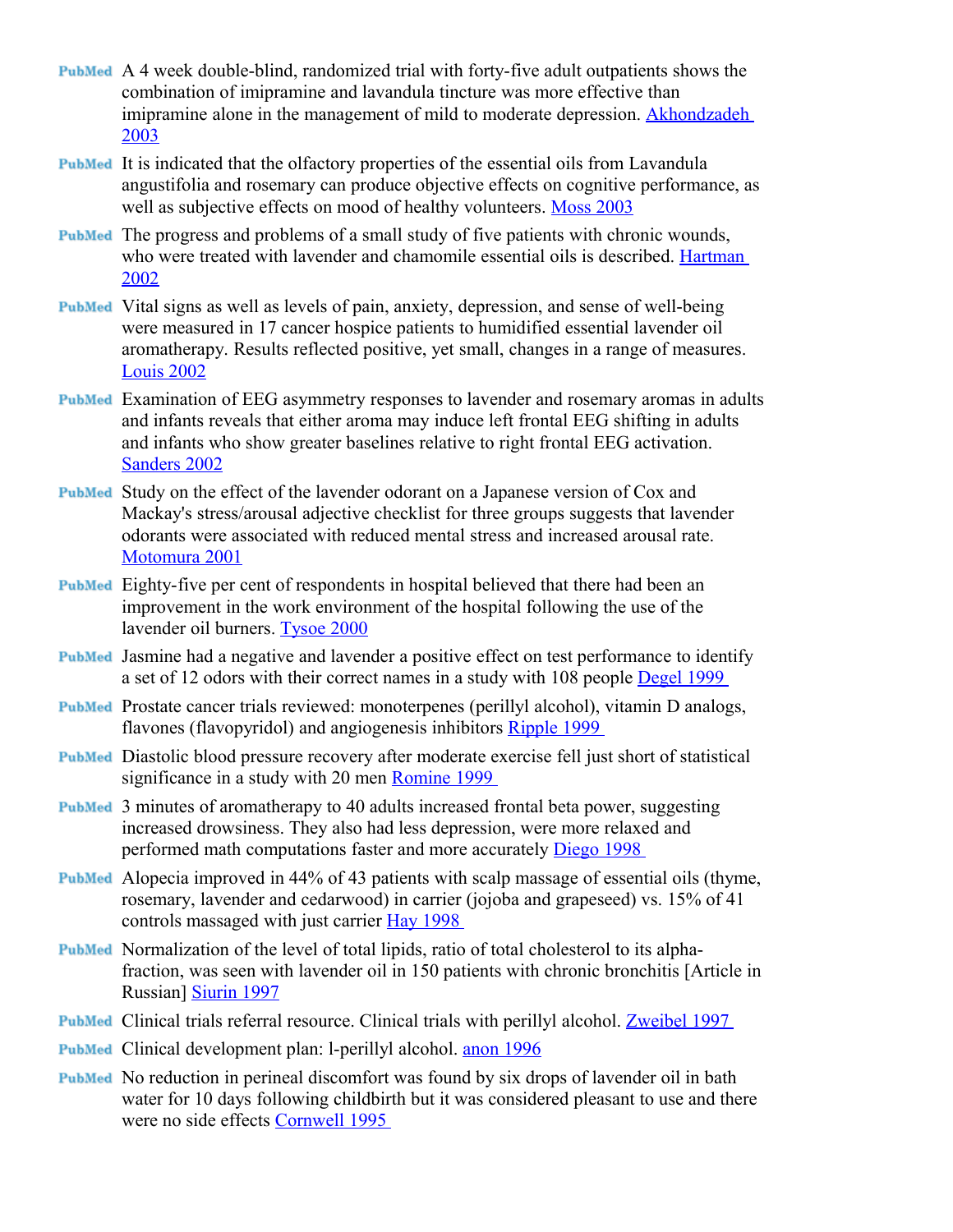- A 4 week double-blind, randomized trial with forty-five adult outpatients shows the combination of imipramine and lavandula tincture was more effective than imipramine alone in the management of mild to moderate depression. [Akhondzadeh](http://content.herbalgram.org/abc/herbmedpro/default.asp?getpg=http://www.ncbi.nlm.nih.gov/sites/entrez?cmd=Retrieve&db=PubMed&list_uids=12551734&dopt=Abstract) [2003](http://content.herbalgram.org/abc/herbmedpro/default.asp?getpg=http://www.ncbi.nlm.nih.gov/sites/entrez?cmd=Retrieve&db=PubMed&list_uids=12551734&dopt=Abstract)
- It is indicated that the olfactory properties of the essential oils from Lavandula angustifolia and rosemary can produce objective effects on cognitive performance, as well as subjective effects on mood of healthy volunteers. [Moss 2003](http://content.herbalgram.org/abc/herbmedpro/default.asp?getpg=http://www.ncbi.nlm.nih.gov/sites/entrez?cmd=Retrieve&db=PubMed&list_uids=12690999&dopt=Abstract)
- PubMed The progress and problems of a small study of five patients with chronic wounds, who were treated with lavender and chamomile essential oils is described. [Hartman](http://content.herbalgram.org/abc/herbmedpro/default.asp?getpg=http://www.ncbi.nlm.nih.gov/sites/entrez?cmd=Retrieve&db=PubMed&list_uids=12360766&dopt=Abstract) [2002](http://content.herbalgram.org/abc/herbmedpro/default.asp?getpg=http://www.ncbi.nlm.nih.gov/sites/entrez?cmd=Retrieve&db=PubMed&list_uids=12360766&dopt=Abstract)
- Vital signs as well as levels of pain, anxiety, depression, and sense of well-being were measured in 17 cancer hospice patients to humidified essential lavender oil aromatherapy. Results reflected positive, yet small, changes in a range of measures. [Louis 2002](http://content.herbalgram.org/abc/herbmedpro/default.asp?getpg=http://www.ncbi.nlm.nih.gov/sites/entrez?cmd=Retrieve&db=PubMed&list_uids=12442972&dopt=Abstract)
- Examination of EEG asymmetry responses to lavender and rosemary aromas in adults and infants reveals that either aroma may induce left frontal EEG shifting in adults and infants who show greater baselines relative to right frontal EEG activation. [Sanders 2002](http://content.herbalgram.org/abc/herbmedpro/default.asp?getpg=http://www.ncbi.nlm.nih.gov/sites/entrez?cmd=Retrieve&db=PubMed&list_uids=12625191&dopt=Abstract)
- Study on the effect of the lavender odorant on a Japanese version of Cox and Mackay's stress/arousal adjective checklist for three groups suggests that lavender odorants were associated with reduced mental stress and increased arousal rate. [Motomura 2001](http://content.herbalgram.org/abc/herbmedpro/default.asp?getpg=http://www.ncbi.nlm.nih.gov/sites/entrez?cmd=Retrieve&db=PubMed&list_uids=11806592&dopt=Abstract)
- Eighty-five per cent of respondents in hospital believed that there had been an improvement in the work environment of the hospital following the use of the lavender oil burners. [Tysoe 2000](http://content.herbalgram.org/abc/herbmedpro/default.asp?getpg=http://www.ncbi.nlm.nih.gov/sites/entrez?cmd=Retrieve&db=PubMed&list_uids=11111496&dopt=Abstract)
- **PubMed** Jasmine had a negative and lavender a positive effect on test performance to identify a set of 12 odors with their correct names in a study with 108 people [Degel 1999](http://content.herbalgram.org/abc/herbmedpro/default.asp?getpg=http://www.ncbi.nlm.nih.gov/entrez/query.fcgi?cmd=Retrieve&db=PubMed&list_uids=10400450&dopt=Abstract)
- PubMed Prostate cancer trials reviewed: monoterpenes (perillyl alcohol), vitamin D analogs, flavones (flavopyridol) and angiogenesis inhibitors [Ripple 1999](http://content.herbalgram.org/abc/herbmedpro/default.asp?getpg=http://www.ncbi.nlm.nih.gov/entrez/query.fcgi?cmd=Retrieve&db=PubMed&list_uids=10597732&dopt=Abstract)
- Diastolic blood pressure recovery after moderate exercise fell just short of statistical significance in a study with 20 men [Romine 1999](http://content.herbalgram.org/abc/herbmedpro/default.asp?getpg=http://www.ncbi.nlm.nih.gov/entrez/query.fcgi?cmd=Retrieve&db=PubMed&list_uids=10407881&dopt=Abstract)
- 3 minutes of aromatherapy to 40 adults increased frontal beta power, suggesting increased drowsiness. They also had less depression, were more relaxed and performed math computations faster and more accurately [Diego 1998](http://content.herbalgram.org/abc/herbmedpro/default.asp?getpg=http://www.ncbi.nlm.nih.gov/entrez/query.fcgi?cmd=Retrieve&db=PubMed&list_uids=10069621&dopt=Abstract)
- Alopecia improved in 44% of 43 patients with scalp massage of essential oils (thyme, rosemary, lavender and cedarwood) in carrier (jojoba and grapeseed) vs. 15% of 41 controls massaged with just carrier [Hay 1998](http://content.herbalgram.org/abc/herbmedpro/default.asp?getpg=http://www.ncbi.nlm.nih.gov/entrez/query.fcgi?cmd=Retrieve&db=PubMed&list_uids=9828867&dopt=Abstract)
- PubMed Normalization of the level of total lipids, ratio of total cholesterol to its alphafraction, was seen with lavender oil in 150 patients with chronic bronchitis [Article in Russian] [Siurin 1997](http://content.herbalgram.org/abc/herbmedpro/default.asp?getpg=http://www.ncbi.nlm.nih.gov/entrez/query.fcgi?cmd=Retrieve&db=PubMed&list_uids=9490339&dopt=Abstract)
- Clinical trials referral resource. Clinical trials with perillyl alcohol. [Zweibel 1997](http://content.herbalgram.org/abc/herbmedpro/default.asp?getpg=http://www.ncbi.nlm.nih.gov/entrez/query.fcgi?cmd=Retrieve&db=PubMed&list_uids=9436188&dopt=Abstract)
- PubMed Clinical development plan: l-perillyl alcohol. [anon 1996](http://content.herbalgram.org/abc/herbmedpro/default.asp?getpg=http://www.ncbi.nlm.nih.gov/entrez/query.fcgi?cmd=Retrieve&db=PubMed&list_uids=9154174&dopt=Abstract)
- PubMed No reduction in perineal discomfort was found by six drops of lavender oil in bath water for 10 days following childbirth but it was considered pleasant to use and there were no side effects [Cornwell 1995](http://content.herbalgram.org/abc/herbmedpro/default.asp?getpg=http://www.ncbi.nlm.nih.gov/entrez/query.fcgi?cmd=Retrieve&db=PubMed&list_uids=7719750&dopt=Abstract)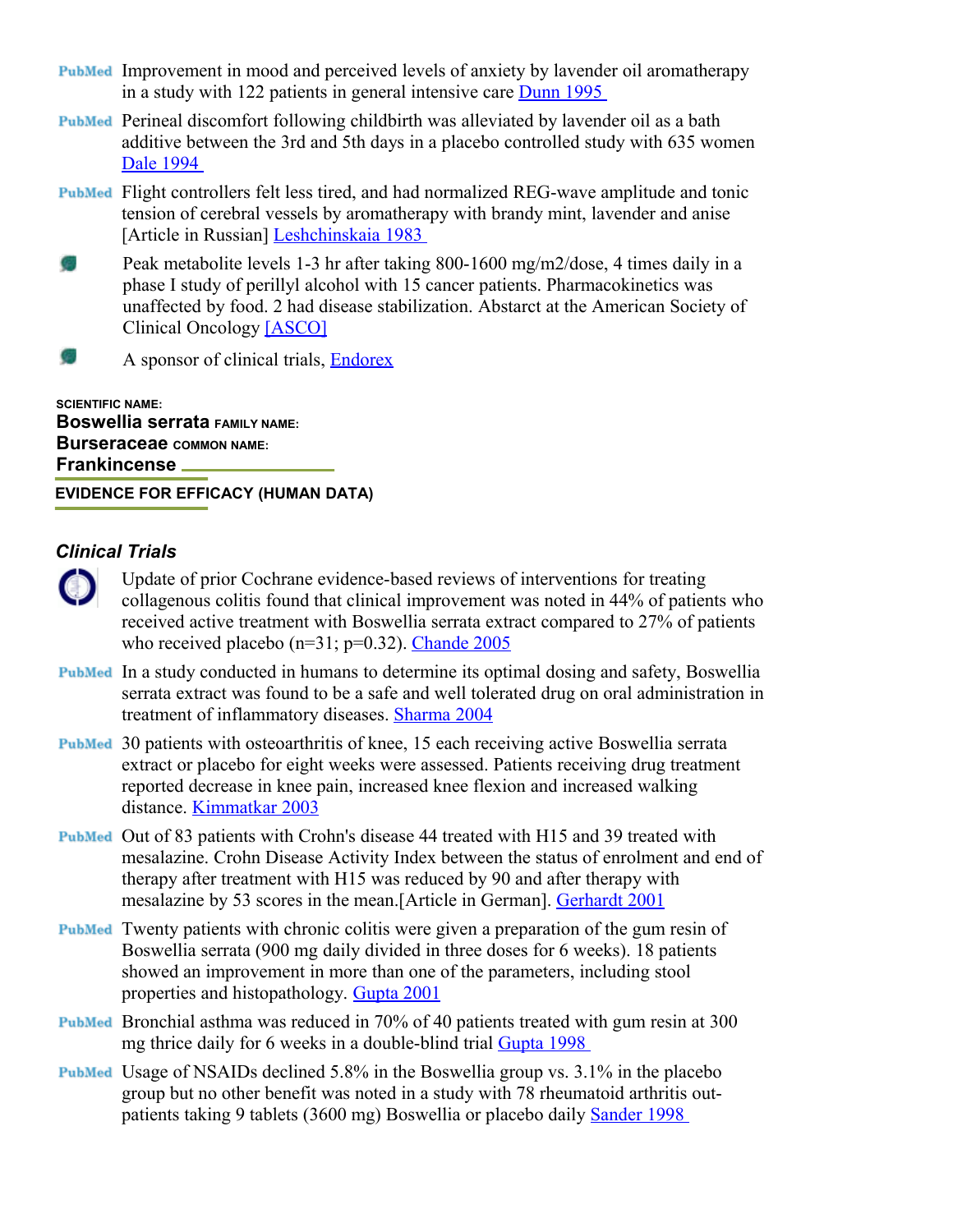- Improvement in mood and perceived levels of anxiety by lavender oil aromatherapy in a study with 122 patients in general intensive care [Dunn 1995](http://content.herbalgram.org/abc/herbmedpro/default.asp?getpg=http://www.ncbi.nlm.nih.gov/entrez/query.fcgi?cmd=Retrieve&db=PubMed&list_uids=7897075&dopt=Abstract)
- Perineal discomfort following childbirth was alleviated by lavender oil as a bath additive between the 3rd and 5th days in a placebo controlled study with 635 women [Dale 1994](http://content.herbalgram.org/abc/herbmedpro/default.asp?getpg=http://www.ncbi.nlm.nih.gov/entrez/query.fcgi?cmd=Retrieve&db=PubMed&list_uids=8138636&dopt=Abstract)
- **PubMed** Flight controllers felt less tired, and had normalized REG-wave amplitude and tonic tension of cerebral vessels by aromatherapy with brandy mint, lavender and anise [Article in Russian] [Leshchinskaia 1983](http://content.herbalgram.org/abc/herbmedpro/default.asp?getpg=http://www.ncbi.nlm.nih.gov/entrez/query.fcgi?cmd=Retrieve&db=PubMed&list_uids=6133981&dopt=Abstract)
- G. Peak metabolite levels 1-3 hr after taking 800-1600 mg/m2/dose, 4 times daily in a phase I study of perillyl alcohol with 15 cancer patients. Pharmacokinetics was unaffected by food. 2 had disease stabilization. Abstarct at the American Society of Clinical Oncology [\[ASCO\]](http://content.herbalgram.org/abc/herbmedpro/default.asp?getpg=http://ascobeta.infostreet.com/prof/me/html/98abstracts/cp/m_885.htm)
- S. A sponsor of clinical trials, [Endorex](http://content.herbalgram.org/abc/herbmedpro/default.asp?getpg=http://www.endorex.com/technology/poh.htm)

**SCIENTIFIC NAME: Boswellia serrata FAMILY NAME: Burseraceae COMMON NAME: Frankincense** 

**EVIDENCE FOR EFFICACY (HUMAN DATA)**

- Update of prior Cochrane evidence-based reviews of interventions for treating  $\bullet$ collagenous colitis found that clinical improvement was noted in 44% of patients who received active treatment with Boswellia serrata extract compared to 27% of patients who received placebo ( $n=31$ ;  $p=0.32$ ). [Chande 2005](http://content.herbalgram.org/abc/herbmedpro/default.asp?getpg=http://www.mrw.interscience.wiley.com/cochrane/clsysrev/articles/CD003575/frame.html)
- **PubMed** In a study conducted in humans to determine its optimal dosing and safety, Boswellia serrata extract was found to be a safe and well tolerated drug on oral administration in treatment of inflammatory diseases. [Sharma 2004](http://content.herbalgram.org/abc/herbmedpro/default.asp?getpg=http://www.ncbi.nlm.nih.gov/entrez/query.fcgi?cmd=Retrieve&db=PubMed&list_uids=15070181&dopt=Abstract)
- 30 patients with osteoarthritis of knee, 15 each receiving active Boswellia serrata extract or placebo for eight weeks were assessed. Patients receiving drug treatment reported decrease in knee pain, increased knee flexion and increased walking distance. [Kimmatkar 2003](http://content.herbalgram.org/abc/herbmedpro/default.asp?getpg=http://www.ncbi.nlm.nih.gov/entrez/query.fcgi?cmd=Retrieve&db=PubMed&list_uids=12622457&dopt=Abstract)
- Out of 83 patients with Crohn's disease 44 treated with H15 and 39 treated with mesalazine. Crohn Disease Activity Index between the status of enrolment and end of therapy after treatment with H15 was reduced by 90 and after therapy with mesalazine by 53 scores in the mean.[Article in German]. [Gerhardt 2001](http://content.herbalgram.org/abc/herbmedpro/default.asp?getpg=http://www.ncbi.nlm.nih.gov/entrez/query.fcgi?cmd=Retrieve&db=PubMed&list_uids=11215357&dopt=Abstract)
- Twenty patients with chronic colitis were given a preparation of the gum resin of Boswellia serrata (900 mg daily divided in three doses for 6 weeks). 18 patients showed an improvement in more than one of the parameters, including stool properties and histopathology. [Gupta 2001](http://content.herbalgram.org/abc/herbmedpro/default.asp?getpg=http://www.ncbi.nlm.nih.gov/entrez/query.fcgi?cmd=Retrieve&db=PubMed&list_uids=11488449&dopt=Abstract)
- Bronchial asthma was reduced in 70% of 40 patients treated with gum resin at 300 mg thrice daily for 6 weeks in a double-blind trial [Gupta 1998](http://content.herbalgram.org/abc/herbmedpro/default.asp?getpg=http://www.ncbi.nlm.nih.gov/entrez/query.fcgi?cmd=Retrieve&db=PubMed&list_uids=9810030&dopt=Abstract)
- Usage of NSAIDs declined 5.8% in the Boswellia group vs. 3.1% in the placebo group but no other benefit was noted in a study with 78 rheumatoid arthritis outpatients taking 9 tablets (3600 mg) Boswellia or placebo daily [Sander 1998](http://content.herbalgram.org/abc/herbmedpro/default.asp?getpg=http://www.ncbi.nlm.nih.gov/entrez/query.fcgi?cmd=Retrieve&db=PubMed&list_uids=9566100&dopt=Abstract)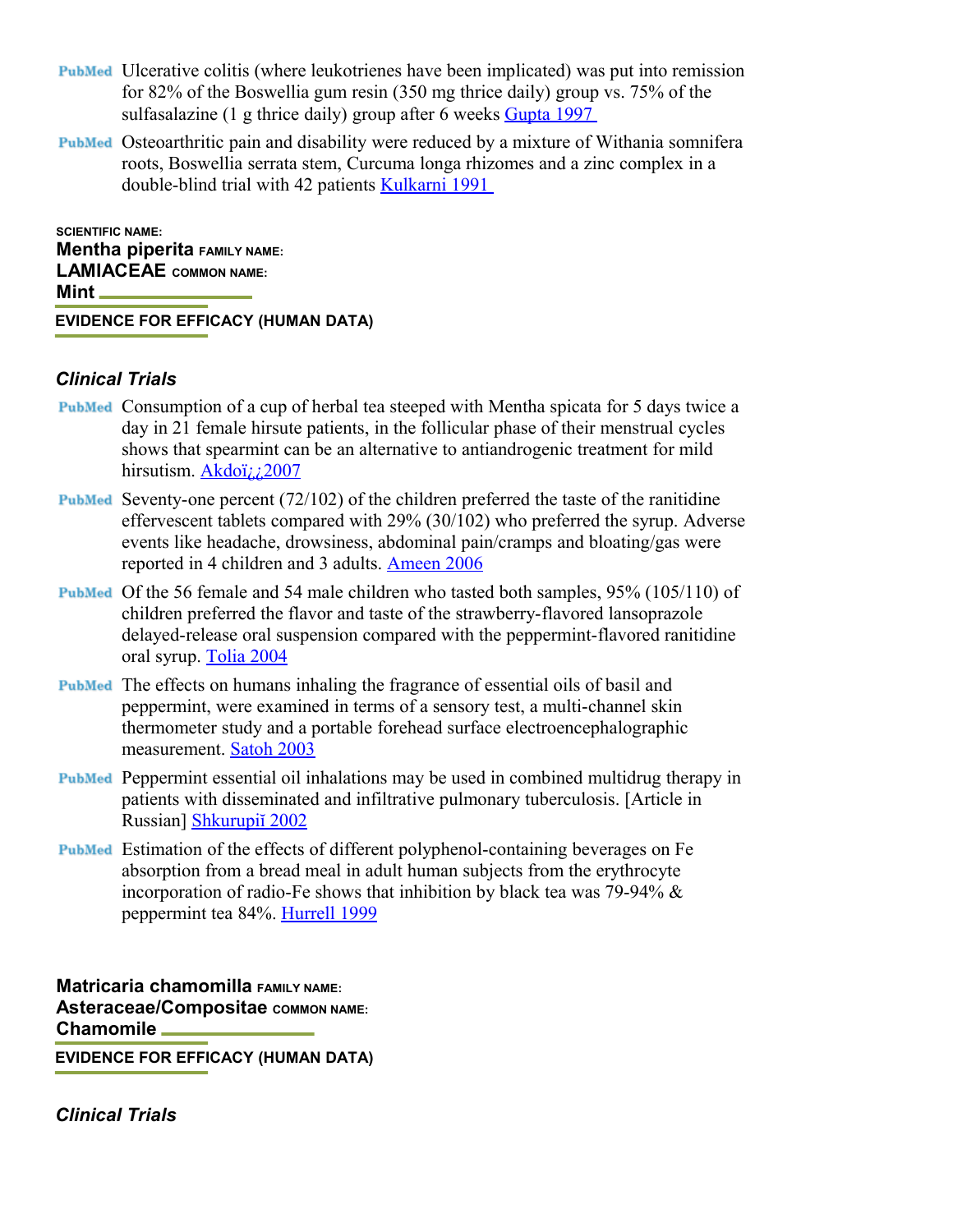- Ulcerative colitis (where leukotrienes have been implicated) was put into remission for 82% of the Boswellia gum resin (350 mg thrice daily) group vs. 75% of the sulfasalazine (1 g thrice daily) group after 6 weeks [Gupta 1997](http://content.herbalgram.org/abc/herbmedpro/default.asp?getpg=http://www.ncbi.nlm.nih.gov/entrez/query.fcgi?cmd=Retrieve&db=PubMed&list_uids=9049593&dopt=Abstract)
- Osteoarthritic pain and disability were reduced by a mixture of Withania somnifera roots, Boswellia serrata stem, Curcuma longa rhizomes and a zinc complex in a double-blind trial with 42 patients [Kulkarni 1991](http://content.herbalgram.org/abc/herbmedpro/default.asp?getpg=http://www.ncbi.nlm.nih.gov/entrez/query.fcgi?cmd=Retrieve&db=PubMed&list_uids=1943180&dopt=Abstract)

**SCIENTIFIC NAME: Mentha piperita FAMILY NAME: LAMIACEAE COMMON NAME: Mint EVIDENCE FOR EFFICACY (HUMAN DATA)**

#### *Clinical Trials*

- Consumption of a cup of herbal tea steeped with Mentha spicata for 5 days twice a day in 21 female hirsute patients, in the follicular phase of their menstrual cycles shows that spearmint can be an alternative to antiandrogenic treatment for mild hirsutism. [Akdoï¿¿2007](http://content.herbalgram.org/abc/herbmedpro/default.asp?getpg=http://www.ncbi.nlm.nih.gov/sites/entrez?cmd=Retrieve&db=PubMed&list_uids=17310494&dopt=Abstract)
- **PubMed** Seventy-one percent  $(72/102)$  of the children preferred the taste of the ranitidine effervescent tablets compared with 29% (30/102) who preferred the syrup. Adverse events like headache, drowsiness, abdominal pain/cramps and bloating/gas were reported in 4 children and 3 adults. [Ameen 2006](http://content.herbalgram.org/abc/herbmedpro/default.asp?getpg=http://www.ncbi.nlm.nih.gov/sites/entrez?cmd=Retrieve&db=PubMed&list_uids=16898856&dopt=Abstract)
- Of the 56 female and 54 male children who tasted both samples, 95% (105/110) of children preferred the flavor and taste of the strawberry-flavored lansoprazole delayed-release oral suspension compared with the peppermint-flavored ranitidine oral syrup. [Tolia 2004](http://content.herbalgram.org/abc/herbmedpro/default.asp?getpg=http://www.ncbi.nlm.nih.gov/sites/entrez?cmd=Retrieve&db=PubMed&list_uids=15035653&dopt=Abstract)
- PubMed The effects on humans inhaling the fragrance of essential oils of basil and peppermint, were examined in terms of a sensory test, a multi-channel skin thermometer study and a portable forehead surface electroencephalographic measurement. [Satoh 2003](http://content.herbalgram.org/abc/herbmedpro/default.asp?getpg=http://www.ncbi.nlm.nih.gov/sites/entrez?cmd=Retrieve&db=PubMed&list_uids=12558038&dopt=Abstract)
- Peppermint essential oil inhalations may be used in combined multidrug therapy in patients with disseminated and infiltrative pulmonary tuberculosis. [Article in Russian] [Shkurupiĭ 2002](http://content.herbalgram.org/abc/herbmedpro/default.asp?getpg=http://www.ncbi.nlm.nih.gov/sites/entrez?cmd=Retrieve&db=PubMed&list_uids=12125251&dopt=Abstract)
- Estimation of the effects of different polyphenol-containing beverages on Fe absorption from a bread meal in adult human subjects from the erythrocyte incorporation of radio-Fe shows that inhibition by black tea was 79-94% & peppermint tea 84%. [Hurrell 1999](http://content.herbalgram.org/abc/herbmedpro/default.asp?getpg=http://www.ncbi.nlm.nih.gov/sites/entrez?cmd=Retrieve&db=PubMed&list_uids=10999016&dopt=Abstract)

**Matricaria chamomilla FAMILY NAME: Asteraceae/Compositae COMMON NAME: Chamomile EVIDENCE FOR EFFICACY (HUMAN DATA)**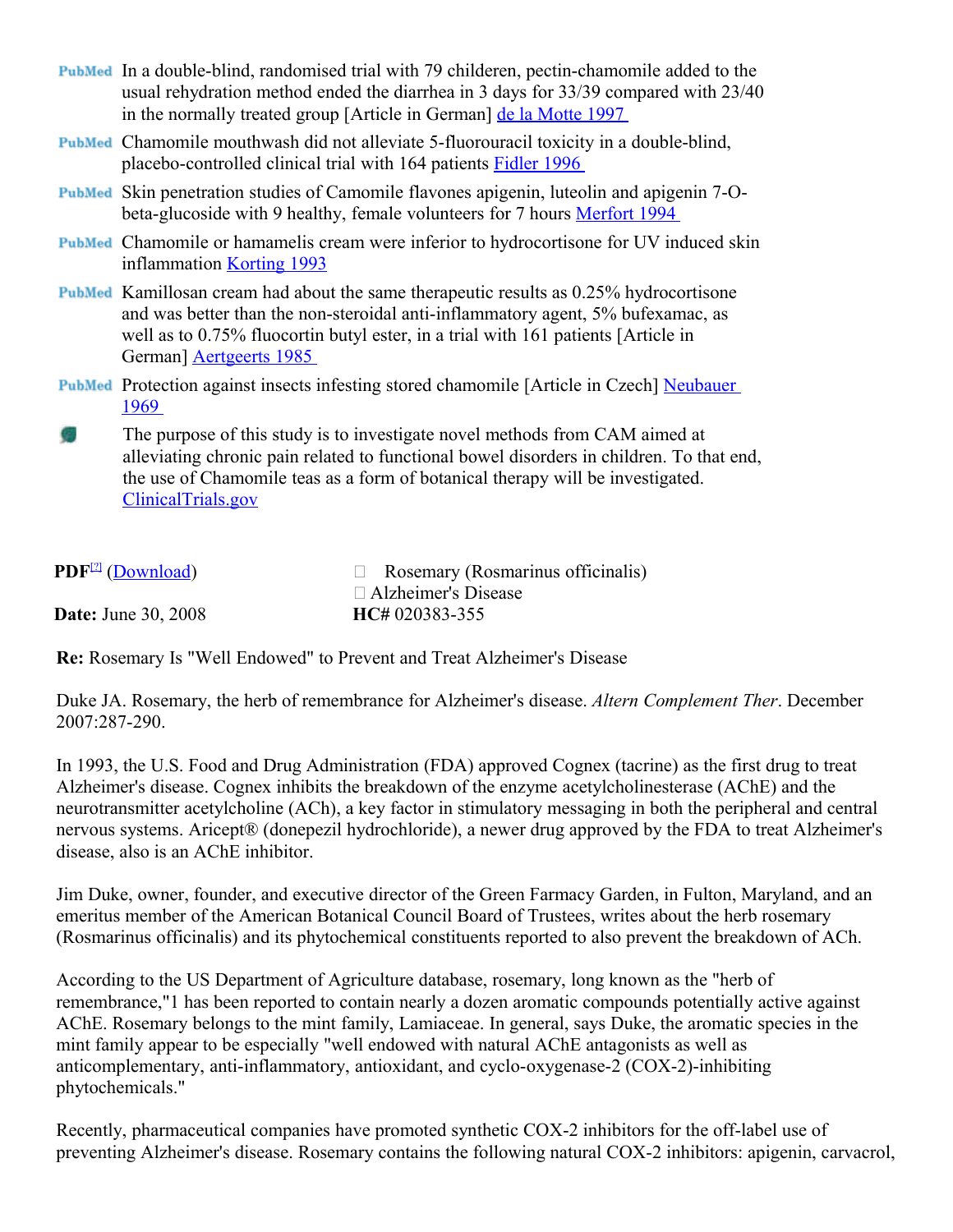- In a double-blind, randomised trial with 79 childeren, pectin-chamomile added to the usual rehydration method ended the diarrhea in 3 days for 33/39 compared with 23/40 in the normally treated group [Article in German] [de la Motte 1997](http://content.herbalgram.org/abc/herbmedpro/default.asp?getpg=http://www.ncbi.nlm.nih.gov/entrez/query.fcgi?cmd=Retrieve&db=PubMed&list_uids=9463302&dopt=Abstract)
- Chamomile mouthwash did not alleviate 5-fluorouracil toxicity in a double-blind, placebo-controlled clinical trial with 164 patients [Fidler 1996](http://content.herbalgram.org/abc/herbmedpro/default.asp?getpg=http://www.ncbi.nlm.nih.gov/entrez/query.fcgi?cmd=Retrieve&db=PubMed&list_uids=8630960&dopt=Abstract)
- PubMed Skin penetration studies of Camomile flavones apigenin, luteolin and apigenin 7-Obeta-glucoside with 9 healthy, female volunteers for 7 hours [Merfort 1994](http://content.herbalgram.org/abc/herbmedpro/default.asp?getpg=http://www.ncbi.nlm.nih.gov/entrez/query.fcgi?cmd=Retrieve&db=PubMed&list_uids=8073060&dopt=Abstract)
- Chamomile or hamamelis cream were inferior to hydrocortisone for UV induced skin inflammation [Korting 1993](http://content.herbalgram.org/abc/herbmedpro/default.asp?getpg=http://www.ncbi.nlm.nih.gov/entrez/query.fcgi?cmd=Retrieve&db=PubMed&list_uids=8513841&dopt=Abstract)
- **PubMed** Kamillosan cream had about the same therapeutic results as 0.25% hydrocortisone and was better than the non-steroidal anti-inflammatory agent, 5% bufexamac, as well as to 0.75% fluocortin butyl ester, in a trial with 161 patients [Article in German] [Aertgeerts 1985](http://content.herbalgram.org/abc/herbmedpro/default.asp?getpg=http://www.ncbi.nlm.nih.gov/entrez/query.fcgi?cmd=Retrieve&db=PubMed&list_uids=3158124&dopt=Abstract)
- PubMed Protection against insects infesting stored chamomile [Article in Czech] [Neubauer](http://content.herbalgram.org/abc/herbmedpro/default.asp?getpg=http://www.ncbi.nlm.nih.gov/entrez/query.fcgi?cmd=Retrieve&db=PubMed&list_uids=5370215&dopt=Abstract) [1969](http://content.herbalgram.org/abc/herbmedpro/default.asp?getpg=http://www.ncbi.nlm.nih.gov/entrez/query.fcgi?cmd=Retrieve&db=PubMed&list_uids=5370215&dopt=Abstract)
- The purpose of this study is to investigate novel methods from CAM aimed at alleviating chronic pain related to functional bowel disorders in children. To that end, the use of Chamomile teas as a form of botanical therapy will be investigated. [ClinicalTrials.gov](http://content.herbalgram.org/abc/herbmedpro/default.asp?getpg=http://clinicaltrials.gov/ct/gui/c/w2b/screen/ResultScreen/action/GetStudy?order=2&xml_file_id=xmlfiles%2FNCT00010933.xml@csdb&JServSessionIdzone_ct=qi8viqcgk1)

| <b>PDF</b> <sup>[2]</sup> (Download) | $\Box$ Rosemary (Rosmarinus officinalis) |
|--------------------------------------|------------------------------------------|
|                                      | $\Box$ Alzheimer's Disease               |
| <b>Date:</b> June 30, 2008           | HC# 020383-355                           |

**Re:** Rosemary Is "Well Endowed" to Prevent and Treat Alzheimer's Disease

Duke JA. Rosemary, the herb of remembrance for Alzheimer's disease. *Altern Complement Ther*. December 2007:287-290.

In 1993, the U.S. Food and Drug Administration (FDA) approved Cognex (tacrine) as the first drug to treat Alzheimer's disease. Cognex inhibits the breakdown of the enzyme acetylcholinesterase (AChE) and the neurotransmitter acetylcholine (ACh), a key factor in stimulatory messaging in both the peripheral and central nervous systems. Aricept® (donepezil hydrochloride), a newer drug approved by the FDA to treat Alzheimer's disease, also is an AChE inhibitor.

Jim Duke, owner, founder, and executive director of the Green Farmacy Garden, in Fulton, Maryland, and an emeritus member of the American Botanical Council Board of Trustees, writes about the herb rosemary (Rosmarinus officinalis) and its phytochemical constituents reported to also prevent the breakdown of ACh.

According to the US Department of Agriculture database, rosemary, long known as the "herb of remembrance,"1 has been reported to contain nearly a dozen aromatic compounds potentially active against AChE. Rosemary belongs to the mint family, Lamiaceae. In general, says Duke, the aromatic species in the mint family appear to be especially "well endowed with natural AChE antagonists as well as anticomplementary, anti-inflammatory, antioxidant, and cyclo-oxygenase-2 (COX-2)-inhibiting phytochemicals."

Recently, pharmaceutical companies have promoted synthetic COX-2 inhibitors for the off-label use of preventing Alzheimer's disease. Rosemary contains the following natural COX-2 inhibitors: apigenin, carvacrol,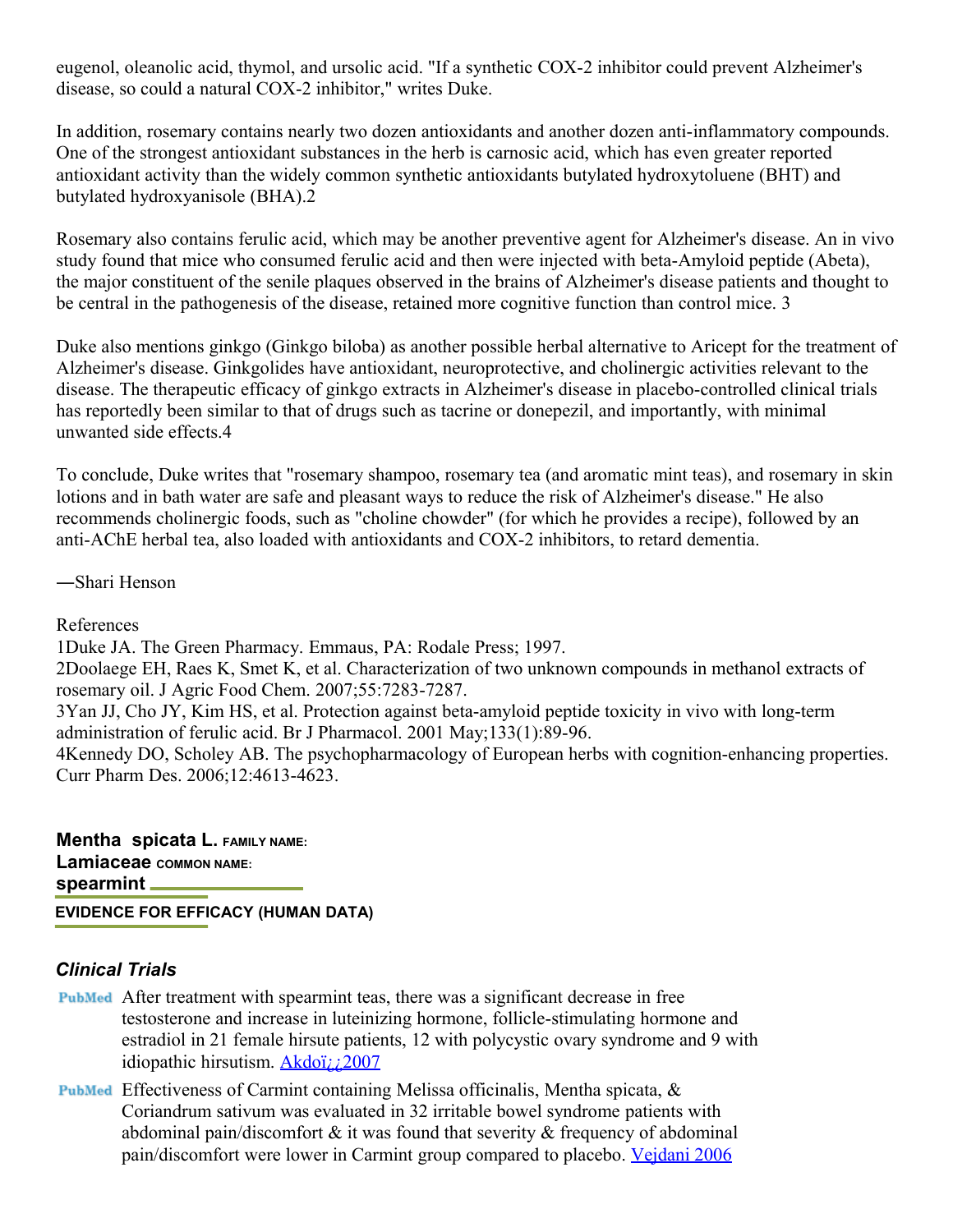eugenol, oleanolic acid, thymol, and ursolic acid. "If a synthetic COX-2 inhibitor could prevent Alzheimer's disease, so could a natural COX-2 inhibitor," writes Duke.

In addition, rosemary contains nearly two dozen antioxidants and another dozen anti-inflammatory compounds. One of the strongest antioxidant substances in the herb is carnosic acid, which has even greater reported antioxidant activity than the widely common synthetic antioxidants butylated hydroxytoluene (BHT) and butylated hydroxyanisole (BHA).2

Rosemary also contains ferulic acid, which may be another preventive agent for Alzheimer's disease. An in vivo study found that mice who consumed ferulic acid and then were injected with beta-Amyloid peptide (Abeta), the major constituent of the senile plaques observed in the brains of Alzheimer's disease patients and thought to be central in the pathogenesis of the disease, retained more cognitive function than control mice. 3

Duke also mentions ginkgo (Ginkgo biloba) as another possible herbal alternative to Aricept for the treatment of Alzheimer's disease. Ginkgolides have antioxidant, neuroprotective, and cholinergic activities relevant to the disease. The therapeutic efficacy of ginkgo extracts in Alzheimer's disease in placebo-controlled clinical trials has reportedly been similar to that of drugs such as tacrine or donepezil, and importantly, with minimal unwanted side effects.4

To conclude, Duke writes that "rosemary shampoo, rosemary tea (and aromatic mint teas), and rosemary in skin lotions and in bath water are safe and pleasant ways to reduce the risk of Alzheimer's disease." He also recommends cholinergic foods, such as "choline chowder" (for which he provides a recipe), followed by an anti-AChE herbal tea, also loaded with antioxidants and COX-2 inhibitors, to retard dementia.

―Shari Henson

#### References

1Duke JA. The Green Pharmacy. Emmaus, PA: Rodale Press; 1997.

2Doolaege EH, Raes K, Smet K, et al. Characterization of two unknown compounds in methanol extracts of rosemary oil. J Agric Food Chem. 2007;55:7283-7287.

3Yan JJ, Cho JY, Kim HS, et al. Protection against beta-amyloid peptide toxicity in vivo with long-term administration of ferulic acid. Br J Pharmacol. 2001 May;133(1):89-96.

4Kennedy DO, Scholey AB. The psychopharmacology of European herbs with cognition-enhancing properties. Curr Pharm Des. 2006;12:4613-4623.

**Mentha spicata L. FAMILY NAME: Lamiaceae COMMON NAME: spearmint EVIDENCE FOR EFFICACY (HUMAN DATA)**

- After treatment with spearmint teas, there was a significant decrease in free testosterone and increase in luteinizing hormone, follicle-stimulating hormone and estradiol in 21 female hirsute patients, 12 with polycystic ovary syndrome and 9 with idiopathic hirsutism. [Akdoï¿¿2007](http://content.herbalgram.org/abc/herbmedpro/default.asp?getpg=http://www.ncbi.nlm.nih.gov/sites/entrez?cmd=Retrieve&db=PubMed&list_uids=17310494&dopt=Abstract)
- **PubMed** Effectiveness of Carmint containing Melissa officinalis, Mentha spicata,  $\&$ Coriandrum sativum was evaluated in 32 irritable bowel syndrome patients with abdominal pain/discomfort  $\&$  it was found that severity  $\&$  frequency of abdominal pain/discomfort were lower in Carmint group compared to placebo. [Vejdani 2006](http://content.herbalgram.org/abc/herbmedpro/default.asp?getpg=http://www.ncbi.nlm.nih.gov/sites/entrez?cmd=Retrieve&db=PubMed&list_uids=16868824&dopt=Abstract)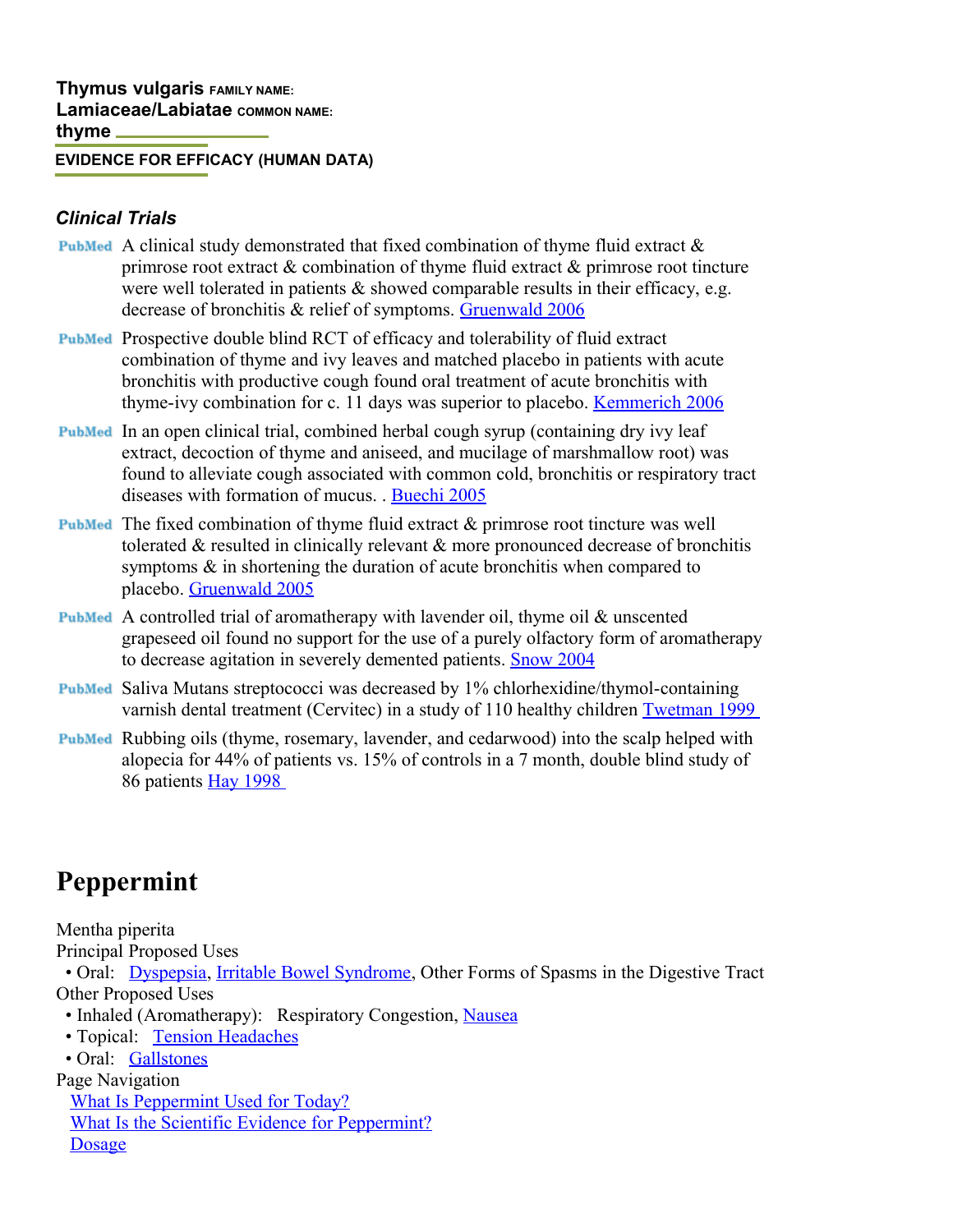#### **EVIDENCE FOR EFFICACY (HUMAN DATA)**

#### *Clinical Trials*

- **PubMed** A clinical study demonstrated that fixed combination of thyme fluid extract  $\&$ primrose root extract & combination of thyme fluid extract & primrose root tincture were well tolerated in patients  $\&$  showed comparable results in their efficacy, e.g. decrease of bronchitis & relief of symptoms. [Gruenwald 2006](http://content.herbalgram.org/abc/herbmedpro/default.asp?getpg=http://www.ncbi.nlm.nih.gov/entrez/query.fcgi?cmd=Retrieve&db=PubMed&list_uids=17009838&dopt=Abstract)
- Prospective double blind RCT of efficacy and tolerability of fluid extract combination of thyme and ivy leaves and matched placebo in patients with acute bronchitis with productive cough found oral treatment of acute bronchitis with thyme-ivy combination for c. 11 days was superior to placebo. [Kemmerich 2006](http://content.herbalgram.org/abc/herbmedpro/default.asp?getpg=http://www.ncbi.nlm.nih.gov/entrez/query.fcgi?cmd=Retrieve&db=PubMed&list_uids=17063641&dopt=Abstract)
- PubMed In an open clinical trial, combined herbal cough syrup (containing dry ivy leaf extract, decoction of thyme and aniseed, and mucilage of marshmallow root) was found to alleviate cough associated with common cold, bronchitis or respiratory tract diseases with formation of mucus. . [Buechi 2005](http://content.herbalgram.org/abc/herbmedpro/default.asp?getpg=http://www.ncbi.nlm.nih.gov/entrez/query.fcgi?cmd=Retrieve&db=PubMed&list_uids=16391481&dopt=Abstract)
- $F_{\text{subMed}}$  The fixed combination of thyme fluid extract  $\&$  primrose root tincture was well tolerated & resulted in clinically relevant & more pronounced decrease of bronchitis symptoms & in shortening the duration of acute bronchitis when compared to placebo. [Gruenwald 2005](http://content.herbalgram.org/abc/herbmedpro/default.asp?getpg=http://www.ncbi.nlm.nih.gov/entrez/query.fcgi?cmd=Retrieve&db=PubMed&list_uids=16366041&dopt=Abstract)
- A controlled trial of aromatherapy with lavender oil, thyme oil & unscented grapeseed oil found no support for the use of a purely olfactory form of aromatherapy to decrease agitation in severely demented patients. [Snow 2004](http://content.herbalgram.org/abc/herbmedpro/default.asp?getpg=http://www.ncbi.nlm.nih.gov/entrez/query.fcgi?cmd=Retrieve&db=PubMed&list_uids=15253846&dopt=Abstract)
- Saliva Mutans streptococci was decreased by 1% chlorhexidine/thymol-containing varnish dental treatment (Cervitec) in a study of 110 healthy children [Twetman 1999](http://content.herbalgram.org/abc/herbmedpro/default.asp?getpg=http://www.ncbi.nlm.nih.gov/entrez/query.fcgi?cmd=Retrieve&db=PubMed&list_uids=10480280&dopt=Abstract)
- Rubbing oils (thyme, rosemary, lavender, and cedarwood) into the scalp helped with alopecia for 44% of patients vs. 15% of controls in a 7 month, double blind study of 86 patients [Hay 1998](http://content.herbalgram.org/abc/herbmedpro/default.asp?getpg=http://www.ncbi.nlm.nih.gov/entrez/query.fcgi?cmd=Retrieve&db=PubMed&list_uids=9828867&dopt=Abstract)

# **Peppermint**

Mentha piperita Principal Proposed Uses

• Oral: [Dyspepsia,](http://www.aurorahealthcare.org/yourhealth/healthgate/getcontent.asp?URLhealthgate=%2221605.html%22) [Irritable Bowel Syndrome,](http://www.aurorahealthcare.org/yourhealth/healthgate/getcontent.asp?URLhealthgate=%2221736.html%22) Other Forms of Spasms in the Digestive Tract Other Proposed Uses

- Inhaled (Aromatherapy): Respiratory Congestion, [Nausea](http://www.aurorahealthcare.org/yourhealth/healthgate/getcontent.asp?URLhealthgate=%2221782.html%22)
- Topical: [Tension Headaches](http://www.aurorahealthcare.org/yourhealth/healthgate/getcontent.asp?URLhealthgate=%2221557.html%22)

• Oral: [Gallstones](http://www.aurorahealthcare.org/yourhealth/healthgate/getcontent.asp?URLhealthgate=%2221520.html%22)

Page Navigation

[What Is Peppermint Used for Today?](http://www.aurorahealthcare.org/yourhealth/healthgate/getcontent.asp?URLhealthgate=%2221838.html%22#P1) [What Is the Scientific Evidence for Peppermint?](http://www.aurorahealthcare.org/yourhealth/healthgate/getcontent.asp?URLhealthgate=%2221838.html%22#P2) [Dosage](http://www.aurorahealthcare.org/yourhealth/healthgate/getcontent.asp?URLhealthgate=%2221838.html%22#P3)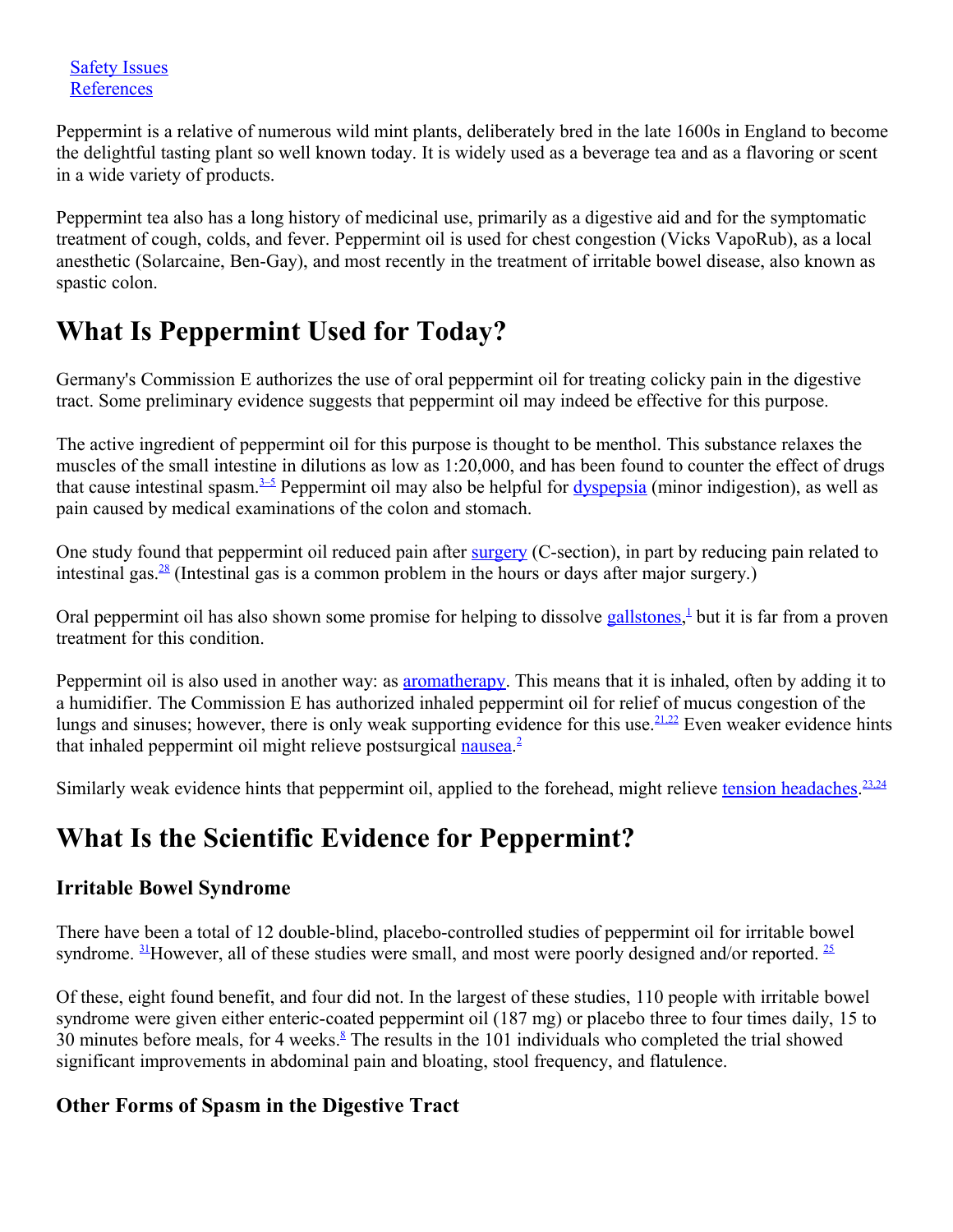Peppermint is a relative of numerous wild mint plants, deliberately bred in the late 1600s in England to become the delightful tasting plant so well known today. It is widely used as a beverage tea and as a flavoring or scent in a wide variety of products.

Peppermint tea also has a long history of medicinal use, primarily as a digestive aid and for the symptomatic treatment of cough, colds, and fever. Peppermint oil is used for chest congestion (Vicks VapoRub), as a local anesthetic (Solarcaine, Ben-Gay), and most recently in the treatment of irritable bowel disease, also known as spastic colon.

# **What Is Peppermint Used for Today?**

Germany's Commission E authorizes the use of oral peppermint oil for treating colicky pain in the digestive tract. Some preliminary evidence suggests that peppermint oil may indeed be effective for this purpose.

The active ingredient of peppermint oil for this purpose is thought to be menthol. This substance relaxes the muscles of the small intestine in dilutions as low as 1:20,000, and has been found to counter the effect of drugs that cause intestinal spasm.<sup>[3–5](http://www.aurorahealthcare.org/yourhealth/healthgate/getcontent.asp?URLhealthgate=%2221838.html%22#ref3)</sup> Peppermint oil may also be helpful for  $\frac{dy\text{sepsilon}}{dy\text{sepsilon}}$  (minor indigestion), as well as pain caused by medical examinations of the colon and stomach.

One study found that peppermint oil reduced pain after [surgery](http://www.aurorahealthcare.org/yourhealth/healthgate/getcontent.asp?URLhealthgate=%2221452.html%22) (C-section), in part by reducing pain related to intestinal gas. $28$  (Intestinal gas is a common problem in the hours or days after major surgery.)

Oral peppermint oil has also shown some promise for helping to dissolve [gallstones,](http://www.aurorahealthcare.org/yourhealth/healthgate/getcontent.asp?URLhealthgate=%2221520.html%22)<sup>[1](http://www.aurorahealthcare.org/yourhealth/healthgate/getcontent.asp?URLhealthgate=%2221838.html%22#ref1)</sup> but it is far from a proven treatment for this condition.

Peppermint oil is also used in another way: as [aromatherapy.](http://www.aurorahealthcare.org/yourhealth/healthgate/getcontent.asp?URLhealthgate=%2237427.html%22) This means that it is inhaled, often by adding it to a humidifier. The Commission E has authorized inhaled peppermint oil for relief of mucus congestion of the lungs and sinuses; however, there is only weak supporting evidence for this use.<sup>[21,22](http://www.aurorahealthcare.org/yourhealth/healthgate/getcontent.asp?URLhealthgate=%2221838.html%22#ref21)</sup> Even weaker evidence hints that inhaled peppermint oil might relieve postsurgical [nausea.](http://www.aurorahealthcare.org/yourhealth/healthgate/getcontent.asp?URLhealthgate=%2221782.html%22)<sup>[2](http://www.aurorahealthcare.org/yourhealth/healthgate/getcontent.asp?URLhealthgate=%2221838.html%22#ref2)</sup>

Similarly weak evidence hints that peppermint oil, applied to the forehead, might relieve [tension headaches.](http://www.aurorahealthcare.org/yourhealth/healthgate/getcontent.asp?URLhealthgate=%2238644.html%22)<sup>[23,24](http://www.aurorahealthcare.org/yourhealth/healthgate/getcontent.asp?URLhealthgate=%2221838.html%22#ref23)</sup>

# **What Is the Scientific Evidence for Peppermint?**

## **Irritable Bowel Syndrome**

There have been a total of 12 double-blind, placebo-controlled studies of peppermint oil for irritable bowel syndrome.  $\frac{31}{2}$  $\frac{31}{2}$  $\frac{31}{2}$ However, all of these studies were small, and most were poorly designed and/or reported.  $\frac{25}{2}$  $\frac{25}{2}$  $\frac{25}{2}$ 

Of these, eight found benefit, and four did not. In the largest of these studies, 110 people with irritable bowel syndrome were given either enteric-coated peppermint oil (187 mg) or placebo three to four times daily, 15 to 30 minutes before meals, for 4 weeks. $8$  The results in the 101 individuals who completed the trial showed significant improvements in abdominal pain and bloating, stool frequency, and flatulence.

## **Other Forms of Spasm in the Digestive Tract**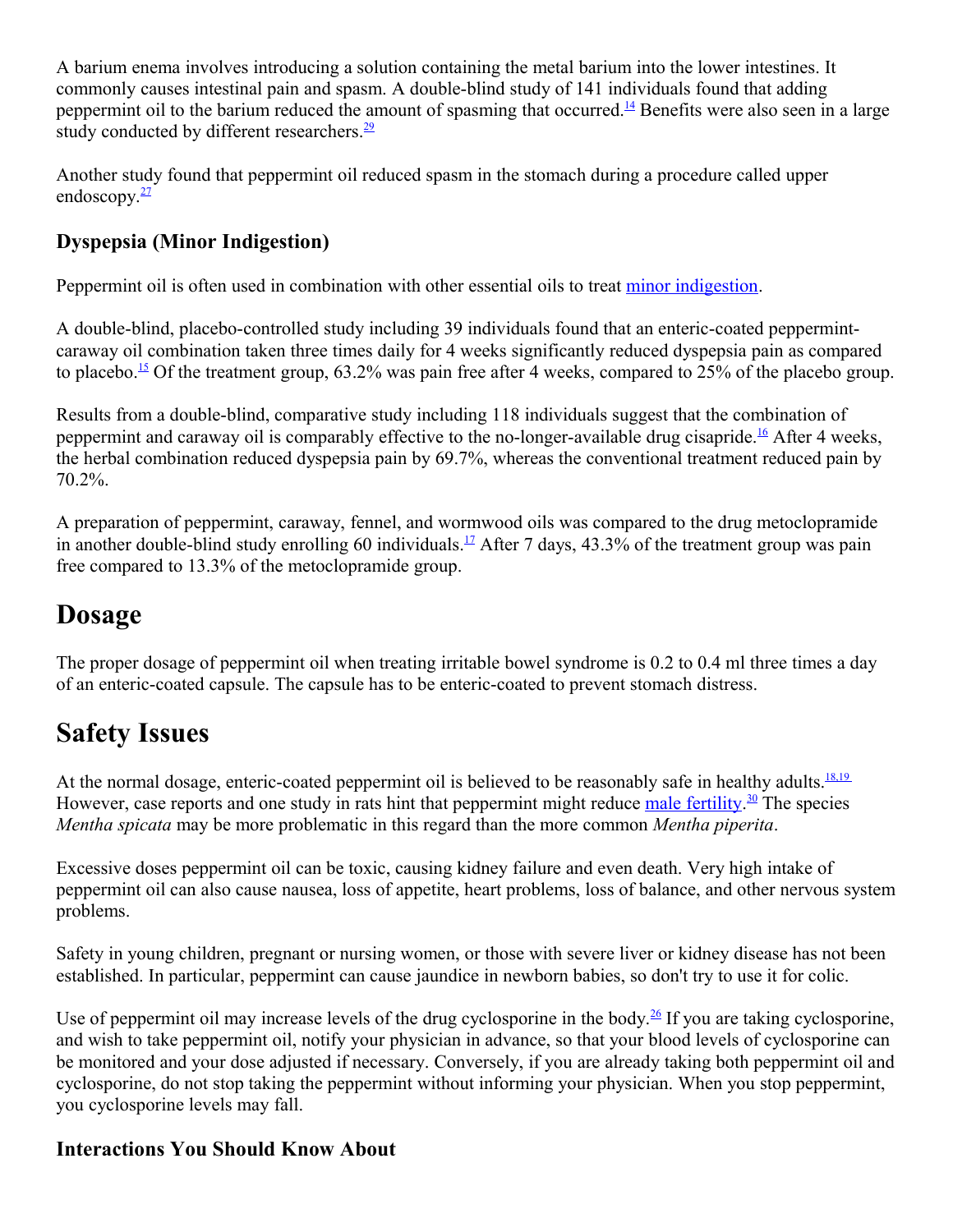A barium enema involves introducing a solution containing the metal barium into the lower intestines. It commonly causes intestinal pain and spasm. A double-blind study of 141 individuals found that adding peppermint oil to the barium reduced the amount of spasming that occurred.<sup>[14](http://www.aurorahealthcare.org/yourhealth/healthgate/getcontent.asp?URLhealthgate=%2221838.html%22#ref14)</sup> Benefits were also seen in a large study conducted by different researchers.<sup>[29](http://www.aurorahealthcare.org/yourhealth/healthgate/getcontent.asp?URLhealthgate=%2221838.html%22#ref29)</sup>

Another study found that peppermint oil reduced spasm in the stomach during a procedure called upper endoscopy. $\frac{27}{2}$  $\frac{27}{2}$  $\frac{27}{2}$ 

## **Dyspepsia (Minor Indigestion)**

Peppermint oil is often used in combination with other essential oils to treat [minor indigestion.](http://www.aurorahealthcare.org/yourhealth/healthgate/getcontent.asp?URLhealthgate=%2221605.html%22)

A double-blind, placebo-controlled study including 39 individuals found that an enteric-coated peppermintcaraway oil combination taken three times daily for 4 weeks significantly reduced dyspepsia pain as compared to placebo.<sup>[15](http://www.aurorahealthcare.org/yourhealth/healthgate/getcontent.asp?URLhealthgate=%2221838.html%22#ref15)</sup> Of the treatment group, 63.2% was pain free after 4 weeks, compared to 25% of the placebo group.

Results from a double-blind, comparative study including 118 individuals suggest that the combination of peppermint and caraway oil is comparably effective to the no-longer-available drug cisapride.<sup>[16](http://www.aurorahealthcare.org/yourhealth/healthgate/getcontent.asp?URLhealthgate=%2221838.html%22#ref16)</sup> After 4 weeks, the herbal combination reduced dyspepsia pain by 69.7%, whereas the conventional treatment reduced pain by 70.2%.

A preparation of peppermint, caraway, fennel, and wormwood oils was compared to the drug metoclopramide in another double-blind study enrolling 60 individuals.<sup>[17](http://www.aurorahealthcare.org/yourhealth/healthgate/getcontent.asp?URLhealthgate=%2221838.html%22#ref17)</sup> After 7 days, 43.3% of the treatment group was pain free compared to 13.3% of the metoclopramide group.

## **Dosage**

The proper dosage of peppermint oil when treating irritable bowel syndrome is 0.2 to 0.4 ml three times a day of an enteric-coated capsule. The capsule has to be enteric-coated to prevent stomach distress.

# **Safety Issues**

At the normal dosage, enteric-coated peppermint oil is believed to be reasonably safe in healthy adults.<sup>[18,19](http://www.aurorahealthcare.org/yourhealth/healthgate/getcontent.asp?URLhealthgate=%2221838.html%22#ref18)</sup> However, case reports and one study in rats hint that peppermint might reduce [male fertility.](http://www.aurorahealthcare.org/yourhealth/healthgate/getcontent.asp?URLhealthgate=%2221723.html%22)<sup>[30](http://www.aurorahealthcare.org/yourhealth/healthgate/getcontent.asp?URLhealthgate=%2221838.html%22#ref30)</sup> The species *Mentha spicata* may be more problematic in this regard than the more common *Mentha piperita*.

Excessive doses peppermint oil can be toxic, causing kidney failure and even death. Very high intake of peppermint oil can also cause nausea, loss of appetite, heart problems, loss of balance, and other nervous system problems.

Safety in young children, pregnant or nursing women, or those with severe liver or kidney disease has not been established. In particular, peppermint can cause jaundice in newborn babies, so don't try to use it for colic.

Use of peppermint oil may increase levels of the drug cyclosporine in the body.<sup>[26](http://www.aurorahealthcare.org/yourhealth/healthgate/getcontent.asp?URLhealthgate=%2221838.html%22#ref26)</sup> If you are taking cyclosporine, and wish to take peppermint oil, notify your physician in advance, so that your blood levels of cyclosporine can be monitored and your dose adjusted if necessary. Conversely, if you are already taking both peppermint oil and cyclosporine, do not stop taking the peppermint without informing your physician. When you stop peppermint, you cyclosporine levels may fall.

## **Interactions You Should Know About**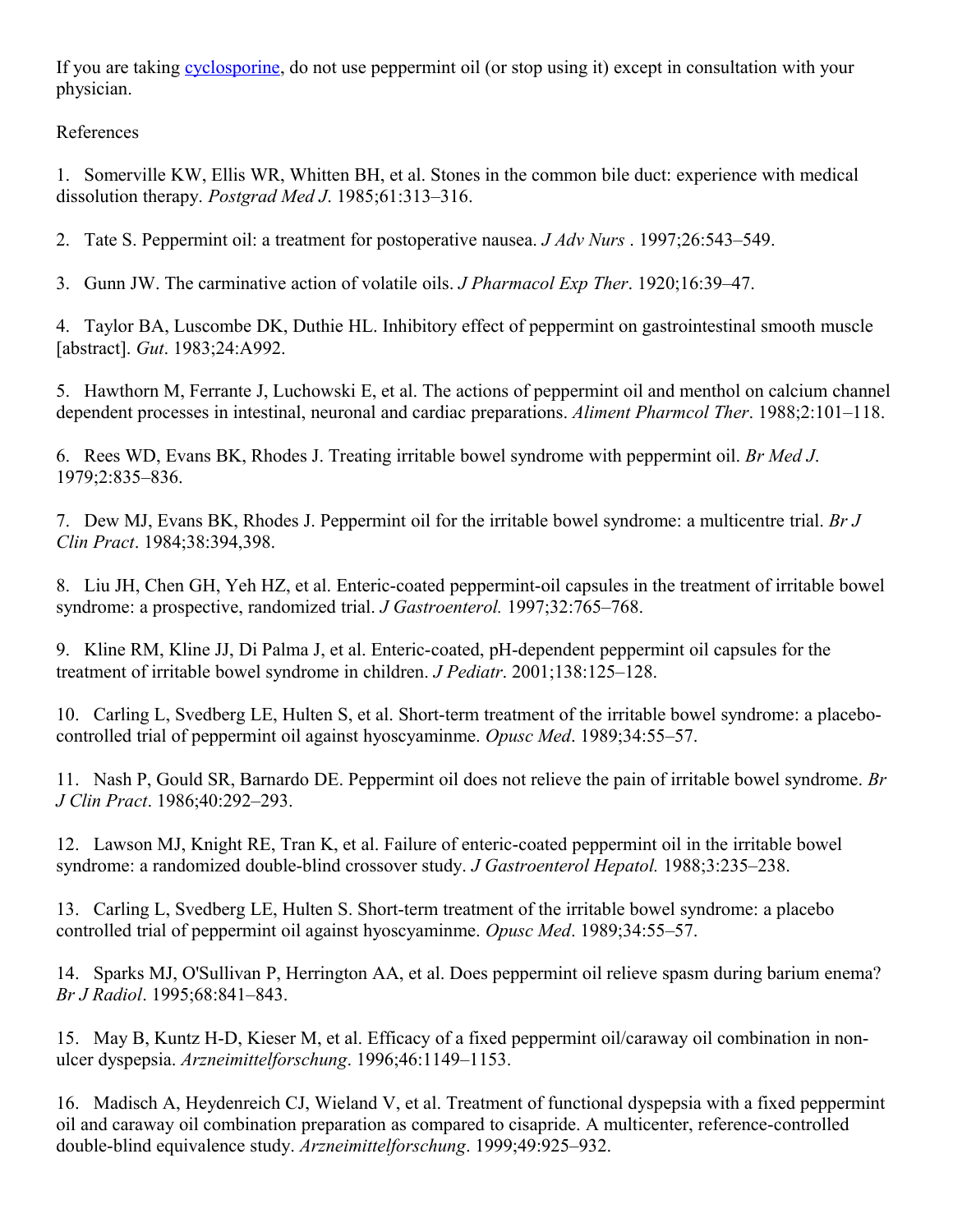If you are taking [cyclosporine,](http://www.aurorahealthcare.org/yourhealth/healthgate/getcontent.asp?URLhealthgate=%2221718.html%22) do not use peppermint oil (or stop using it) except in consultation with your physician.

References

1. Somerville KW, Ellis WR, Whitten BH, et al. Stones in the common bile duct: experience with medical dissolution therapy. *Postgrad Med J*. 1985;61:313–316.

2. Tate S. Peppermint oil: a treatment for postoperative nausea. *J Adv Nurs* . 1997;26:543–549.

3. Gunn JW. The carminative action of volatile oils. *J Pharmacol Exp Ther*. 1920;16:39–47.

4. Taylor BA, Luscombe DK, Duthie HL. Inhibitory effect of peppermint on gastrointestinal smooth muscle [abstract]. *Gut*. 1983;24:A992.

5. Hawthorn M, Ferrante J, Luchowski E, et al. The actions of peppermint oil and menthol on calcium channel dependent processes in intestinal, neuronal and cardiac preparations. *Aliment Pharmcol Ther*. 1988;2:101–118.

6. Rees WD, Evans BK, Rhodes J. Treating irritable bowel syndrome with peppermint oil. *Br Med J*. 1979;2:835–836.

7. Dew MJ, Evans BK, Rhodes J. Peppermint oil for the irritable bowel syndrome: a multicentre trial. *Br J Clin Pract*. 1984;38:394,398.

8. Liu JH, Chen GH, Yeh HZ, et al. Enteric-coated peppermint-oil capsules in the treatment of irritable bowel syndrome: a prospective, randomized trial. *J Gastroenterol.* 1997;32:765–768.

9. Kline RM, Kline JJ, Di Palma J, et al. Enteric-coated, pH-dependent peppermint oil capsules for the treatment of irritable bowel syndrome in children. *J Pediatr*. 2001;138:125–128.

10. Carling L, Svedberg LE, Hulten S, et al. Short-term treatment of the irritable bowel syndrome: a placebocontrolled trial of peppermint oil against hyoscyaminme. *Opusc Med*. 1989;34:55–57.

11. Nash P, Gould SR, Barnardo DE. Peppermint oil does not relieve the pain of irritable bowel syndrome. *Br J Clin Pract*. 1986;40:292–293.

12. Lawson MJ, Knight RE, Tran K, et al. Failure of enteric-coated peppermint oil in the irritable bowel syndrome: a randomized double-blind crossover study. *J Gastroenterol Hepatol.* 1988;3:235–238.

13. Carling L, Svedberg LE, Hulten S. Short-term treatment of the irritable bowel syndrome: a placebo controlled trial of peppermint oil against hyoscyaminme. *Opusc Med*. 1989;34:55–57.

14. Sparks MJ, O'Sullivan P, Herrington AA, et al. Does peppermint oil relieve spasm during barium enema? *Br J Radiol*. 1995;68:841–843.

15. May B, Kuntz H-D, Kieser M, et al. Efficacy of a fixed peppermint oil/caraway oil combination in nonulcer dyspepsia. *Arzneimittelforschung*. 1996;46:1149–1153.

16. Madisch A, Heydenreich CJ, Wieland V, et al. Treatment of functional dyspepsia with a fixed peppermint oil and caraway oil combination preparation as compared to cisapride. A multicenter, reference-controlled double-blind equivalence study. *Arzneimittelforschung*. 1999;49:925–932.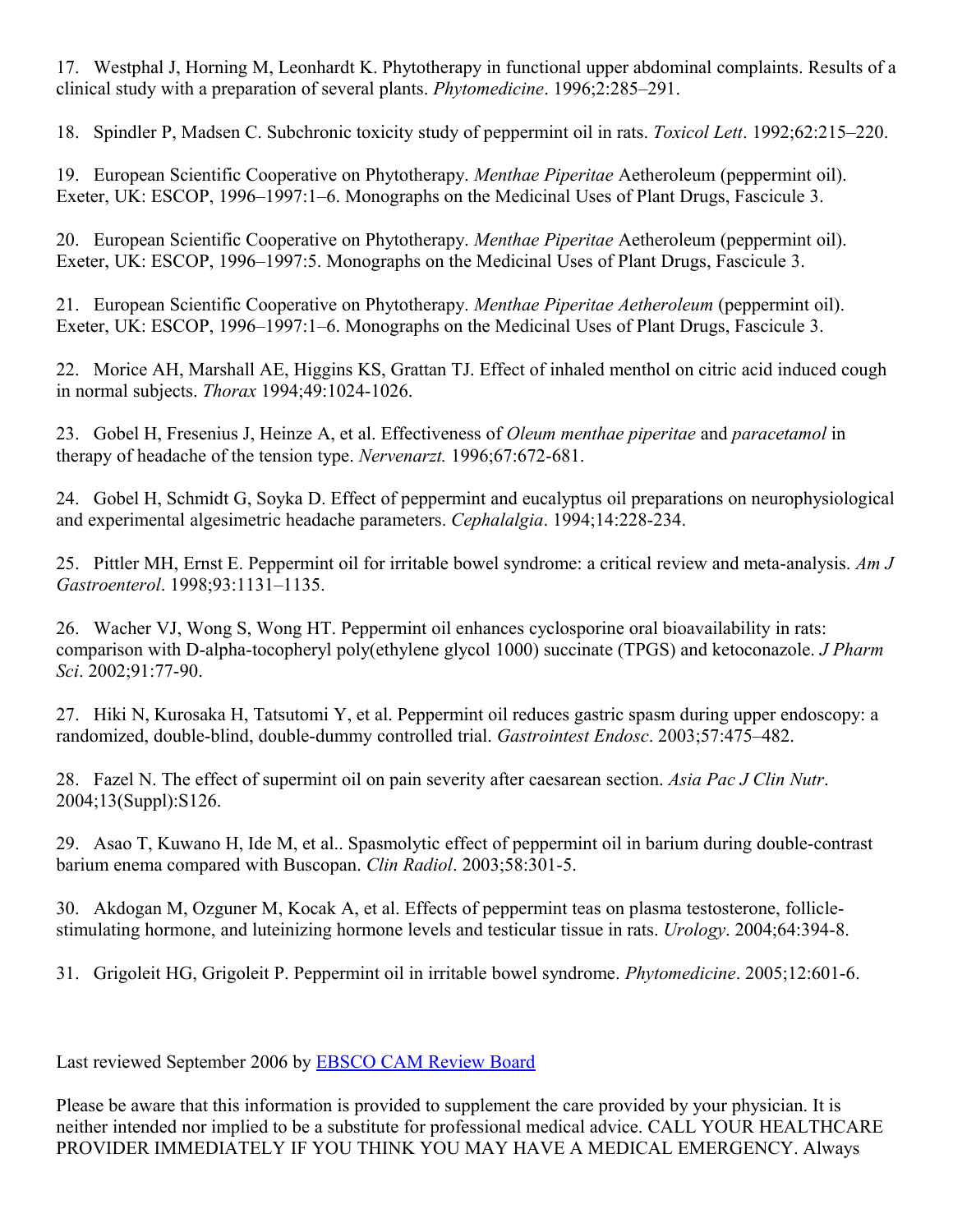17. Westphal J, Horning M, Leonhardt K. Phytotherapy in functional upper abdominal complaints. Results of a clinical study with a preparation of several plants. *Phytomedicine*. 1996;2:285–291.

18. Spindler P, Madsen C. Subchronic toxicity study of peppermint oil in rats. *Toxicol Lett*. 1992;62:215–220.

19. European Scientific Cooperative on Phytotherapy. *Menthae Piperitae* Aetheroleum (peppermint oil). Exeter, UK: ESCOP, 1996–1997:1–6. Monographs on the Medicinal Uses of Plant Drugs, Fascicule 3.

20. European Scientific Cooperative on Phytotherapy. *Menthae Piperitae* Aetheroleum (peppermint oil). Exeter, UK: ESCOP, 1996–1997:5. Monographs on the Medicinal Uses of Plant Drugs, Fascicule 3.

21. European Scientific Cooperative on Phytotherapy. *Menthae Piperitae Aetheroleum* (peppermint oil). Exeter, UK: ESCOP, 1996–1997:1–6. Monographs on the Medicinal Uses of Plant Drugs, Fascicule 3.

22. Morice AH, Marshall AE, Higgins KS, Grattan TJ. Effect of inhaled menthol on citric acid induced cough in normal subjects. *Thorax* 1994;49:1024-1026.

23. Gobel H, Fresenius J, Heinze A, et al. Effectiveness of *Oleum menthae piperitae* and *paracetamol* in therapy of headache of the tension type. *Nervenarzt.* 1996;67:672-681.

24. Gobel H, Schmidt G, Soyka D. Effect of peppermint and eucalyptus oil preparations on neurophysiological and experimental algesimetric headache parameters. *Cephalalgia*. 1994;14:228-234.

25. Pittler MH, Ernst E. Peppermint oil for irritable bowel syndrome: a critical review and meta-analysis. *Am J Gastroenterol*. 1998;93:1131–1135.

26. Wacher VJ, Wong S, Wong HT. Peppermint oil enhances cyclosporine oral bioavailability in rats: comparison with D-alpha-tocopheryl poly(ethylene glycol 1000) succinate (TPGS) and ketoconazole. *J Pharm Sci*. 2002;91:77-90.

27. Hiki N, Kurosaka H, Tatsutomi Y, et al. Peppermint oil reduces gastric spasm during upper endoscopy: a randomized, double-blind, double-dummy controlled trial. *Gastrointest Endosc*. 2003;57:475–482.

28. Fazel N. The effect of supermint oil on pain severity after caesarean section. *Asia Pac J Clin Nutr*. 2004;13(Suppl):S126.

29. Asao T, Kuwano H, Ide M, et al.. Spasmolytic effect of peppermint oil in barium during double-contrast barium enema compared with Buscopan. *Clin Radiol*. 2003;58:301-5.

30. Akdogan M, Ozguner M, Kocak A, et al. Effects of peppermint teas on plasma testosterone, folliclestimulating hormone, and luteinizing hormone levels and testicular tissue in rats. *Urology*. 2004;64:394-8.

31. Grigoleit HG, Grigoleit P. Peppermint oil in irritable bowel syndrome. *Phytomedicine*. 2005;12:601-6.

Last reviewed September 2006 by [EBSCO CAM Review Board](http://www.aurorahealthcare.org/yourhealth/healthgate/getcontent.asp?URLhealthgate=%2235926.html%22)

Please be aware that this information is provided to supplement the care provided by your physician. It is neither intended nor implied to be a substitute for professional medical advice. CALL YOUR HEALTHCARE PROVIDER IMMEDIATELY IF YOU THINK YOU MAY HAVE A MEDICAL EMERGENCY. Always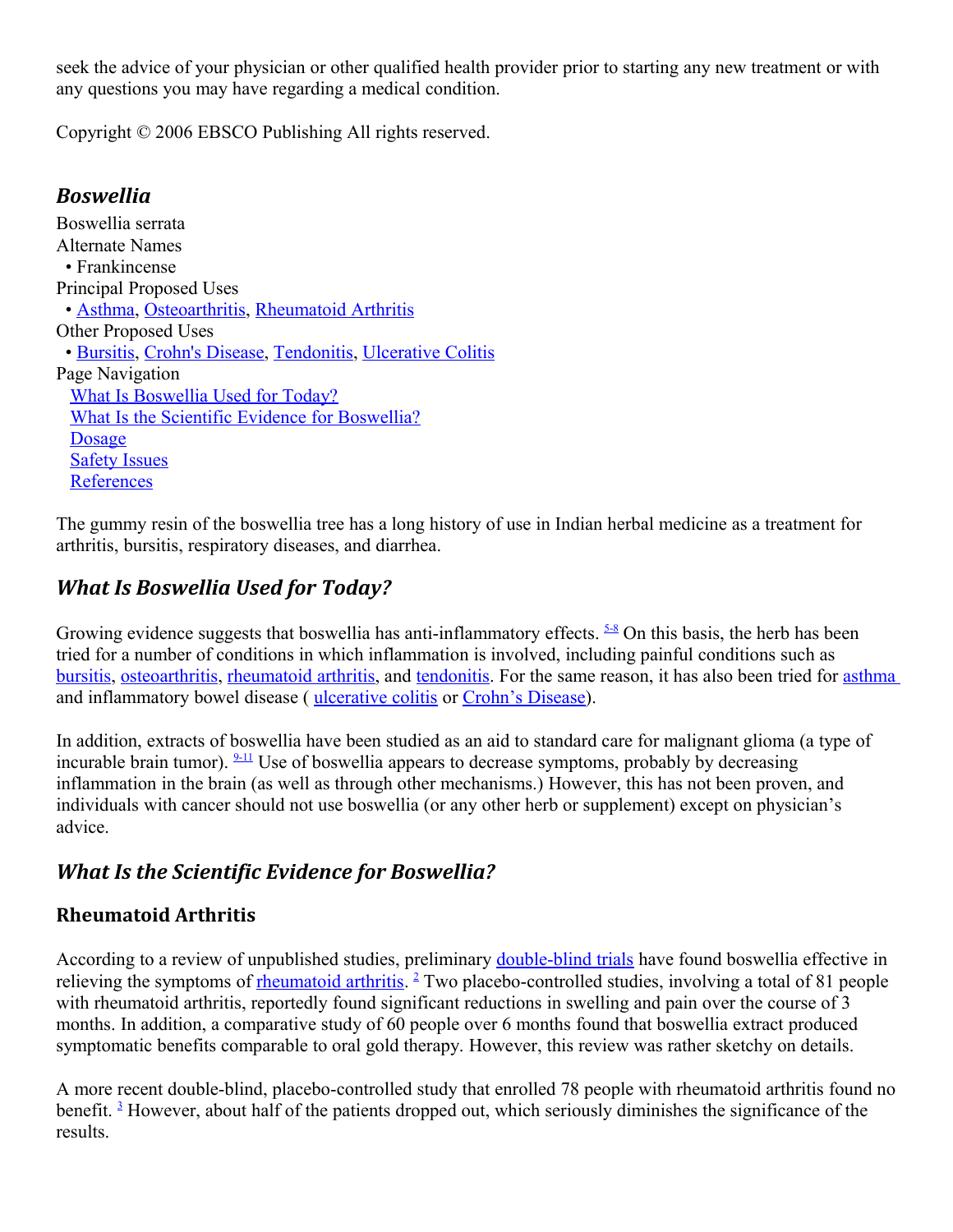seek the advice of your physician or other qualified health provider prior to starting any new treatment or with any questions you may have regarding a medical condition.

Copyright © 2006 EBSCO Publishing All rights reserved.

## *Boswellia*

Boswellia serrata Alternate Names • Frankincense Principal Proposed Uses • [Asthma,](http://www.aurorahealthcare.org/yourhealth/healthgate/getcontent.asp?URLhealthgate=%2221428.html%22) [Osteoarthritis,](http://www.aurorahealthcare.org/yourhealth/healthgate/getcontent.asp?URLhealthgate=%2221505.html%22) [Rheumatoid Arthritis](http://www.aurorahealthcare.org/yourhealth/healthgate/getcontent.asp?URLhealthgate=%2221511.html%22) Other Proposed Uses • [Bursitis,](http://www.aurorahealthcare.org/yourhealth/healthgate/getcontent.asp?URLhealthgate=%2238736.html%22) [Crohn's Disease,](http://www.aurorahealthcare.org/yourhealth/healthgate/getcontent.asp?URLhealthgate=%2221611.html%22) [Tendonitis,](http://www.aurorahealthcare.org/yourhealth/healthgate/getcontent.asp?URLhealthgate=%2238402.html%22) [Ulcerative Colitis](http://www.aurorahealthcare.org/yourhealth/healthgate/getcontent.asp?URLhealthgate=%2221844.html%22) Page Navigation [What Is Boswellia Used for Today?](http://www.aurorahealthcare.org/yourhealth/healthgate/getcontent.asp?URLhealthgate=%2221617.html%22#used) [What Is the Scientific Evidence for Boswellia?](http://www.aurorahealthcare.org/yourhealth/healthgate/getcontent.asp?URLhealthgate=%2221617.html%22#scientific) **[Dosage](http://www.aurorahealthcare.org/yourhealth/healthgate/getcontent.asp?URLhealthgate=%2221617.html%22#dosage)** [Safety Issues](http://www.aurorahealthcare.org/yourhealth/healthgate/getcontent.asp?URLhealthgate=%2221617.html%22#safety) **[References](http://www.aurorahealthcare.org/yourhealth/healthgate/getcontent.asp?URLhealthgate=%2221617.html%22#references)** 

The gummy resin of the boswellia tree has a long history of use in Indian herbal medicine as a treatment for arthritis, bursitis, respiratory diseases, and diarrhea.

## *What Is Boswellia Used for Today?*

Growing evidence suggests that boswellia has anti-inflammatory effects.  $\frac{5-8}{5}$  $\frac{5-8}{5}$  $\frac{5-8}{5}$  On this basis, the herb has been tried for a number of conditions in which inflammation is involved, including painful conditions such as [bursitis,](http://www.aurorahealthcare.org/yourhealth/healthgate/getcontent.asp?URLhealthgate=%2238736.html%22) [osteoarthritis,](http://www.aurorahealthcare.org/yourhealth/healthgate/getcontent.asp?URLhealthgate=%2221505.html%22) [rheumatoid arthritis,](http://www.aurorahealthcare.org/yourhealth/healthgate/getcontent.asp?URLhealthgate=%2221511.html%22) and [tendonitis.](http://www.aurorahealthcare.org/yourhealth/healthgate/getcontent.asp?URLhealthgate=%2238402.html%22) For the same reason, it has also been tried for [asthma](http://www.aurorahealthcare.org/yourhealth/healthgate/getcontent.asp?URLhealthgate=%2221428.html%22) and inflammatory bowel disease ( [ulcerative colitis](http://www.aurorahealthcare.org/yourhealth/healthgate/getcontent.asp?URLhealthgate=%2221844.html%22) or [Crohn's Disease\)](http://www.aurorahealthcare.org/yourhealth/healthgate/getcontent.asp?URLhealthgate=%2221611.html%22).

In addition, extracts of boswellia have been studied as an aid to standard care for malignant glioma (a type of incurable brain tumor).  $\frac{9-11}{2}$  $\frac{9-11}{2}$  $\frac{9-11}{2}$  Use of boswellia appears to decrease symptoms, probably by decreasing inflammation in the brain (as well as through other mechanisms.) However, this has not been proven, and individuals with cancer should not use boswellia (or any other herb or supplement) except on physician's advice.

## *What Is the Scientific Evidence for Boswellia?*

## **Rheumatoid Arthritis**

According to a review of unpublished studies, preliminary [double-blind trials](http://www.aurorahealthcare.org/yourhealth/healthgate/getcontent.asp?URLhealthgate=%2221849.html%22) have found boswellia effective in relieving the symptoms of **rheumatoid arthritis**. <sup>[2](http://www.aurorahealthcare.org/yourhealth/healthgate/getcontent.asp?URLhealthgate=%2221617.html%22#ref2)</sup> Two placebo-controlled studies, involving a total of 81 people with rheumatoid arthritis, reportedly found significant reductions in swelling and pain over the course of 3 months. In addition, a comparative study of 60 people over 6 months found that boswellia extract produced symptomatic benefits comparable to oral gold therapy. However, this review was rather sketchy on details.

A more recent double-blind, placebo-controlled study that enrolled 78 people with rheumatoid arthritis found no benefit.<sup>[3](http://www.aurorahealthcare.org/yourhealth/healthgate/getcontent.asp?URLhealthgate=%2221617.html%22#ref3)</sup> However, about half of the patients dropped out, which seriously diminishes the significance of the results.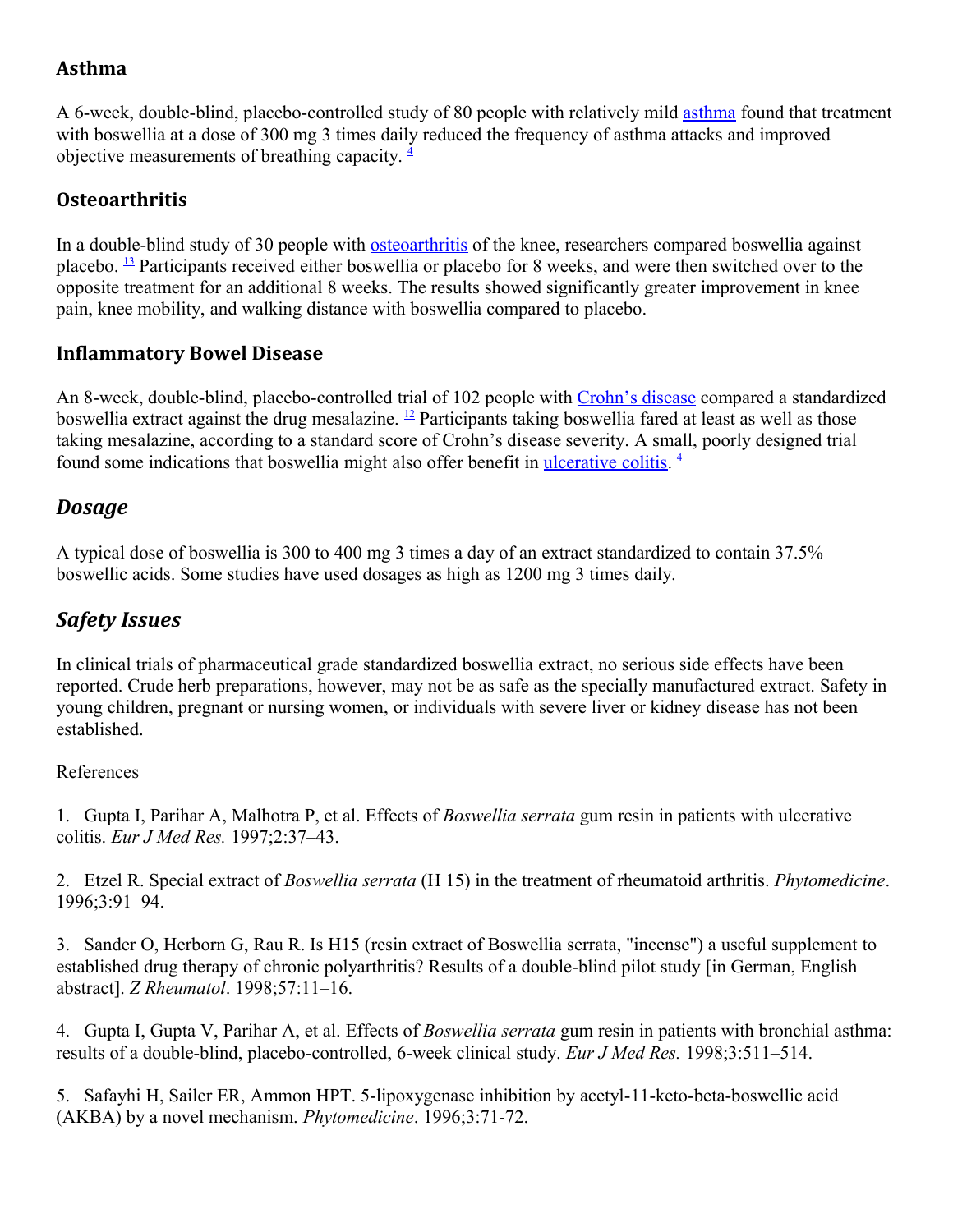## **Asthma**

A 6-week, double-blind, placebo-controlled study of 80 people with relatively mild [asthma](http://www.aurorahealthcare.org/yourhealth/healthgate/getcontent.asp?URLhealthgate=%2221428.html%22) found that treatment with boswellia at a dose of 300 mg 3 times daily reduced the frequency of asthma attacks and improved objective measurements of breathing capacity.  $\frac{4}{3}$  $\frac{4}{3}$  $\frac{4}{3}$ 

## **Osteoarthritis**

In a double-blind study of 30 people with [osteoarthritis](http://www.aurorahealthcare.org/yourhealth/healthgate/getcontent.asp?URLhealthgate=%2221505.html%22) of the knee, researchers compared boswellia against placebo. <sup>[13](http://www.aurorahealthcare.org/yourhealth/healthgate/getcontent.asp?URLhealthgate=%2221617.html%22#ref13)</sup> Participants received either boswellia or placebo for 8 weeks, and were then switched over to the opposite treatment for an additional 8 weeks. The results showed significantly greater improvement in knee pain, knee mobility, and walking distance with boswellia compared to placebo.

## **Inflammatory Bowel Disease**

An 8-week, double-blind, placebo-controlled trial of 102 people with [Crohn's disease](http://www.aurorahealthcare.org/yourhealth/healthgate/getcontent.asp?URLhealthgate=%2221611.html%22) compared a standardized boswellia extract against the drug mesalazine. [12](http://www.aurorahealthcare.org/yourhealth/healthgate/getcontent.asp?URLhealthgate=%2221617.html%22#ref12) Participants taking boswellia fared at least as well as those taking mesalazine, according to a standard score of Crohn's disease severity. A small, poorly designed trial found some indications that boswellia might also offer benefit in [ulcerative colitis.](http://www.aurorahealthcare.org/yourhealth/healthgate/getcontent.asp?URLhealthgate=%2221844.html%22)<sup>[4](http://www.aurorahealthcare.org/yourhealth/healthgate/getcontent.asp?URLhealthgate=%2221617.html%22#ref4)</sup>

## *Dosage*

A typical dose of boswellia is 300 to 400 mg 3 times a day of an extract standardized to contain 37.5% boswellic acids. Some studies have used dosages as high as 1200 mg 3 times daily.

## *Safety Issues*

In clinical trials of pharmaceutical grade standardized boswellia extract, no serious side effects have been reported. Crude herb preparations, however, may not be as safe as the specially manufactured extract. Safety in young children, pregnant or nursing women, or individuals with severe liver or kidney disease has not been established.

### References

1. Gupta I, Parihar A, Malhotra P, et al. Effects of *Boswellia serrata* gum resin in patients with ulcerative colitis. *Eur J Med Res.* 1997;2:37–43.

2. Etzel R. Special extract of *Boswellia serrata* (H 15) in the treatment of rheumatoid arthritis. *Phytomedicine*. 1996;3:91–94.

3. Sander O, Herborn G, Rau R. Is H15 (resin extract of Boswellia serrata, "incense") a useful supplement to established drug therapy of chronic polyarthritis? Results of a double-blind pilot study [in German, English abstract]. *Z Rheumatol*. 1998;57:11–16.

4. Gupta I, Gupta V, Parihar A, et al. Effects of *Boswellia serrata* gum resin in patients with bronchial asthma: results of a double-blind, placebo-controlled, 6-week clinical study. *Eur J Med Res.* 1998;3:511–514.

5. Safayhi H, Sailer ER, Ammon HPT. 5-lipoxygenase inhibition by acetyl-11-keto-beta-boswellic acid (AKBA) by a novel mechanism. *Phytomedicine*. 1996;3:71-72.